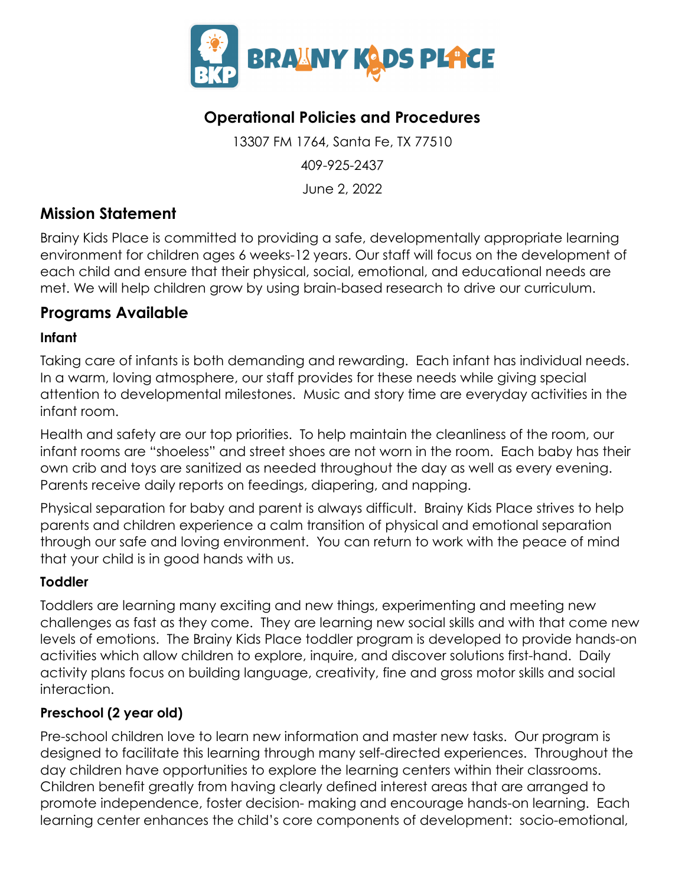

# **Operational Policies and Procedures**

13307 FM 1764, Santa Fe, TX 77510 409-925-2437 June 2, 2022

## **Mission Statement**

Brainy Kids Place is committed to providing a safe, developmentally appropriate learning environment for children ages 6 weeks-12 years. Our staff will focus on the development of each child and ensure that their physical, social, emotional, and educational needs are met. We will help children grow by using brain-based research to drive our curriculum.

## **Programs Available**

#### **Infant**

Taking care of infants is both demanding and rewarding. Each infant has individual needs. In a warm, loving atmosphere, our staff provides for these needs while giving special attention to developmental milestones. Music and story time are everyday activities in the infant room.

Health and safety are our top priorities. To help maintain the cleanliness of the room, our infant rooms are "shoeless" and street shoes are not worn in the room. Each baby has their own crib and toys are sanitized as needed throughout the day as well as every evening. Parents receive daily reports on feedings, diapering, and napping.

Physical separation for baby and parent is always difficult. Brainy Kids Place strives to help parents and children experience a calm transition of physical and emotional separation through our safe and loving environment. You can return to work with the peace of mind that your child is in good hands with us.

#### **Toddler**

Toddlers are learning many exciting and new things, experimenting and meeting new challenges as fast as they come. They are learning new social skills and with that come new levels of emotions. The Brainy Kids Place toddler program is developed to provide hands-on activities which allow children to explore, inquire, and discover solutions first-hand. Daily activity plans focus on building language, creativity, fine and gross motor skills and social interaction.

### **Preschool (2 year old)**

Pre-school children love to learn new information and master new tasks. Our program is designed to facilitate this learning through many self-directed experiences. Throughout the day children have opportunities to explore the learning centers within their classrooms. Children benefit greatly from having clearly defined interest areas that are arranged to promote independence, foster decision- making and encourage hands-on learning. Each learning center enhances the child's core components of development: socio-emotional,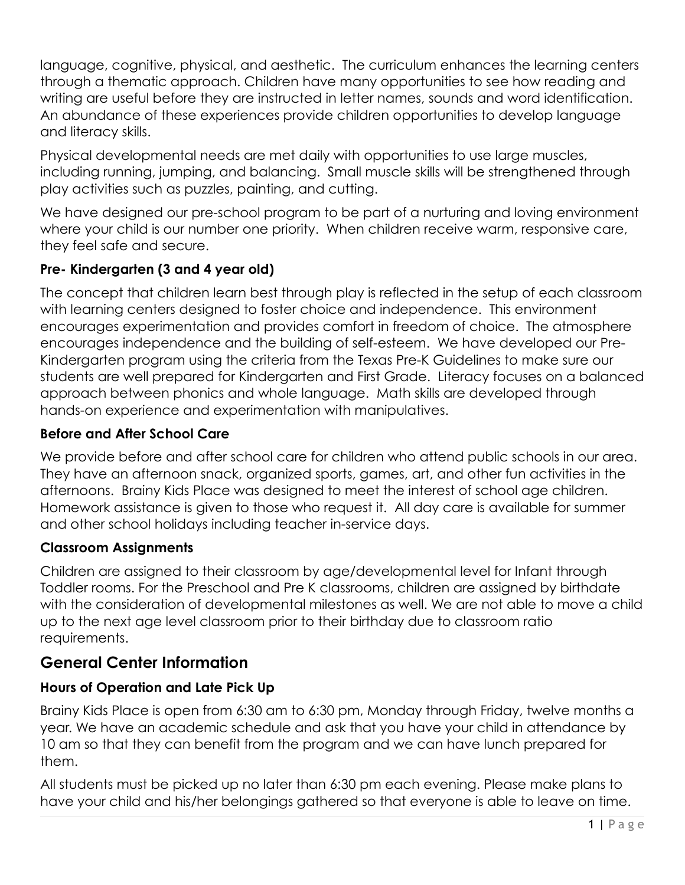language, cognitive, physical, and aesthetic. The curriculum enhances the learning centers through a thematic approach. Children have many opportunities to see how reading and writing are useful before they are instructed in letter names, sounds and word identification. An abundance of these experiences provide children opportunities to develop language and literacy skills.

Physical developmental needs are met daily with opportunities to use large muscles, including running, jumping, and balancing. Small muscle skills will be strengthened through play activities such as puzzles, painting, and cutting.

We have designed our pre-school program to be part of a nurturing and loving environment where your child is our number one priority. When children receive warm, responsive care, they feel safe and secure.

### **Pre- Kindergarten (3 and 4 year old)**

The concept that children learn best through play is reflected in the setup of each classroom with learning centers designed to foster choice and independence. This environment encourages experimentation and provides comfort in freedom of choice. The atmosphere encourages independence and the building of self-esteem. We have developed our Pre-Kindergarten program using the criteria from the Texas Pre-K Guidelines to make sure our students are well prepared for Kindergarten and First Grade. Literacy focuses on a balanced approach between phonics and whole language. Math skills are developed through hands-on experience and experimentation with manipulatives.

#### **Before and After School Care**

We provide before and after school care for children who attend public schools in our area. They have an afternoon snack, organized sports, games, art, and other fun activities in the afternoons. Brainy Kids Place was designed to meet the interest of school age children. Homework assistance is given to those who request it. All day care is available for summer and other school holidays including teacher in-service days.

#### **Classroom Assignments**

Children are assigned to their classroom by age/developmental level for Infant through Toddler rooms. For the Preschool and Pre K classrooms, children are assigned by birthdate with the consideration of developmental milestones as well. We are not able to move a child up to the next age level classroom prior to their birthday due to classroom ratio requirements.

### **General Center Information**

#### **Hours of Operation and Late Pick Up**

Brainy Kids Place is open from 6:30 am to 6:30 pm, Monday through Friday, twelve months a year. We have an academic schedule and ask that you have your child in attendance by 10 am so that they can benefit from the program and we can have lunch prepared for them.

All students must be picked up no later than 6:30 pm each evening. Please make plans to have your child and his/her belongings gathered so that everyone is able to leave on time.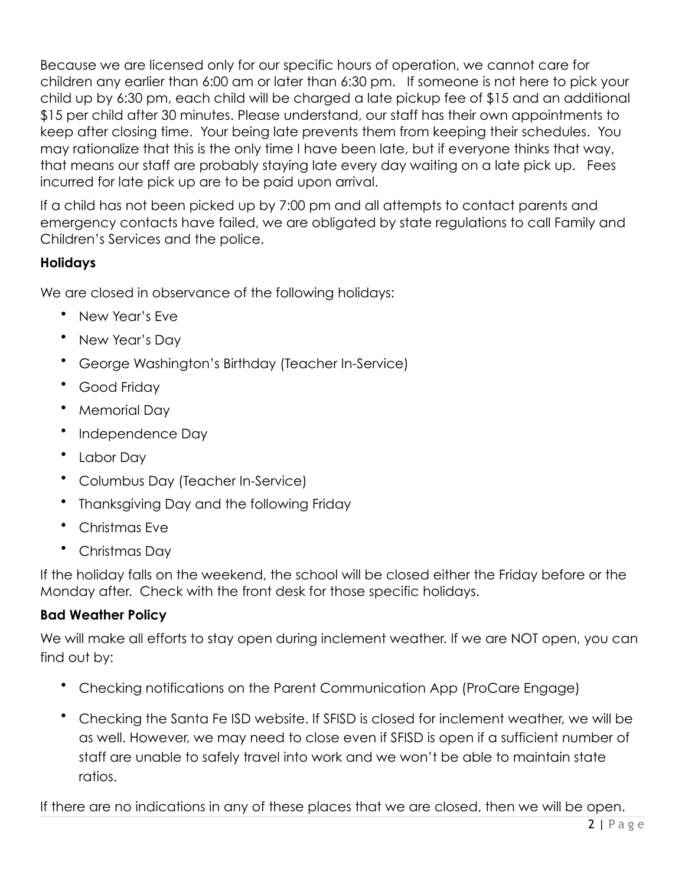Because we are licensed only for our specific hours of operation, we cannot care for children any earlier than 6:00 am or later than 6:30 pm. If someone is not here to pick your child up by 6:30 pm, each child will be charged a late pickup fee of \$15 and an additional \$15 per child after 30 minutes. Please understand, our staff has their own appointments to keep after closing time. Your being late prevents them from keeping their schedules. You may rationalize that this is the only time I have been late, but if everyone thinks that way, that means our staff are probably staying late every day waiting on a late pick up. Fees incurred for late pick up are to be paid upon arrival.

If a child has not been picked up by 7:00 pm and all attempts to contact parents and emergency contacts have failed, we are obligated by state regulations to call Family and Children's Services and the police.

### **Holidays**

We are closed in observance of the following holidays:

- New Year's Eve
- New Year's Day
- George Washington's Birthday (Teacher In-Service)
- Good Friday
- Memorial Day
- Independence Day
- Labor Day
- Columbus Day (Teacher In-Service)
- Thanksgiving Day and the following Friday
- Christmas Eve
- Christmas Day

If the holiday falls on the weekend, the school will be closed either the Friday before or the Monday after. Check with the front desk for those specific holidays.

#### **Bad Weather Policy**

We will make all efforts to stay open during inclement weather. If we are NOT open, you can find out by:

- Checking notifications on the Parent Communication App (ProCare Engage)
- Checking the Santa Fe ISD website. If SFISD is closed for inclement weather, we will be as well. However, we may need to close even if SFISD is open if a sufficient number of staff are unable to safely travel into work and we won't be able to maintain state ratios.

If there are no indications in any of these places that we are closed, then we will be open.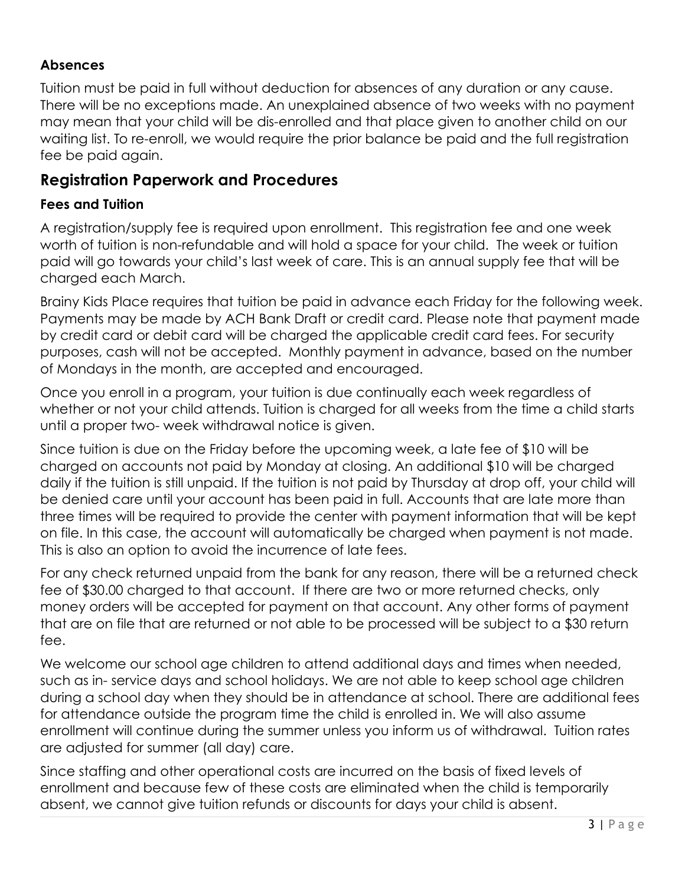### **Absences**

Tuition must be paid in full without deduction for absences of any duration or any cause. There will be no exceptions made. An unexplained absence of two weeks with no payment may mean that your child will be dis-enrolled and that place given to another child on our waiting list. To re-enroll, we would require the prior balance be paid and the full registration fee be paid again.

## **Registration Paperwork and Procedures**

#### **Fees and Tuition**

A registration/supply fee is required upon enrollment. This registration fee and one week worth of tuition is non-refundable and will hold a space for your child. The week or tuition paid will go towards your child's last week of care. This is an annual supply fee that will be charged each March.

Brainy Kids Place requires that tuition be paid in advance each Friday for the following week. Payments may be made by ACH Bank Draft or credit card. Please note that payment made by credit card or debit card will be charged the applicable credit card fees. For security purposes, cash will not be accepted. Monthly payment in advance, based on the number of Mondays in the month, are accepted and encouraged.

Once you enroll in a program, your tuition is due continually each week regardless of whether or not your child attends. Tuition is charged for all weeks from the time a child starts until a proper two- week withdrawal notice is given.

Since tuition is due on the Friday before the upcoming week, a late fee of \$10 will be charged on accounts not paid by Monday at closing. An additional \$10 will be charged daily if the tuition is still unpaid. If the tuition is not paid by Thursday at drop off, your child will be denied care until your account has been paid in full. Accounts that are late more than three times will be required to provide the center with payment information that will be kept on file. In this case, the account will automatically be charged when payment is not made. This is also an option to avoid the incurrence of late fees.

For any check returned unpaid from the bank for any reason, there will be a returned check fee of \$30.00 charged to that account. If there are two or more returned checks, only money orders will be accepted for payment on that account. Any other forms of payment that are on file that are returned or not able to be processed will be subject to a \$30 return fee.

We welcome our school age children to attend additional days and times when needed, such as in- service days and school holidays. We are not able to keep school age children during a school day when they should be in attendance at school. There are additional fees for attendance outside the program time the child is enrolled in. We will also assume enrollment will continue during the summer unless you inform us of withdrawal. Tuition rates are adjusted for summer (all day) care.

Since staffing and other operational costs are incurred on the basis of fixed levels of enrollment and because few of these costs are eliminated when the child is temporarily absent, we cannot give tuition refunds or discounts for days your child is absent.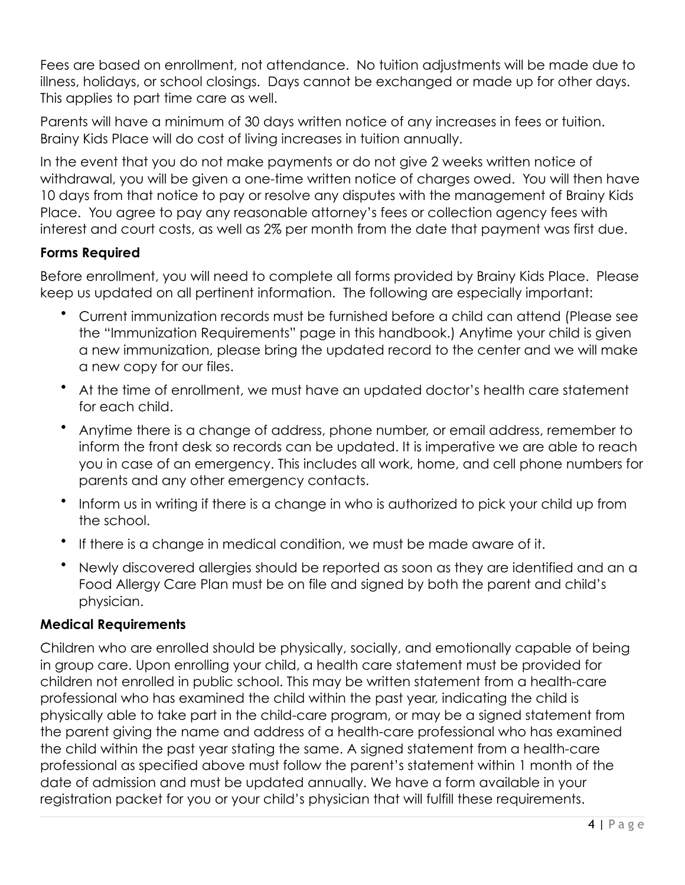Fees are based on enrollment, not attendance. No tuition adjustments will be made due to illness, holidays, or school closings. Days cannot be exchanged or made up for other days. This applies to part time care as well.

Parents will have a minimum of 30 days written notice of any increases in fees or tuition. Brainy Kids Place will do cost of living increases in tuition annually.

In the event that you do not make payments or do not give 2 weeks written notice of withdrawal, you will be given a one-time written notice of charges owed. You will then have 10 days from that notice to pay or resolve any disputes with the management of Brainy Kids Place. You agree to pay any reasonable attorney's fees or collection agency fees with interest and court costs, as well as 2% per month from the date that payment was first due.

#### **Forms Required**

Before enrollment, you will need to complete all forms provided by Brainy Kids Place. Please keep us updated on all pertinent information. The following are especially important:

- Current immunization records must be furnished before a child can attend (Please see the "Immunization Requirements" page in this handbook.) Anytime your child is given a new immunization, please bring the updated record to the center and we will make a new copy for our files.
- At the time of enrollment, we must have an updated doctor's health care statement for each child.
- Anytime there is a change of address, phone number, or email address, remember to inform the front desk so records can be updated. It is imperative we are able to reach you in case of an emergency. This includes all work, home, and cell phone numbers for parents and any other emergency contacts.
- Inform us in writing if there is a change in who is authorized to pick your child up from the school.
- If there is a change in medical condition, we must be made aware of it.
- Newly discovered allergies should be reported as soon as they are identified and an a Food Allergy Care Plan must be on file and signed by both the parent and child's physician.

#### **Medical Requirements**

Children who are enrolled should be physically, socially, and emotionally capable of being in group care. Upon enrolling your child, a health care statement must be provided for children not enrolled in public school. This may be written statement from a health-care professional who has examined the child within the past year, indicating the child is physically able to take part in the child-care program, or may be a signed statement from the parent giving the name and address of a health-care professional who has examined the child within the past year stating the same. A signed statement from a health-care professional as specified above must follow the parent's statement within 1 month of the date of admission and must be updated annually. We have a form available in your registration packet for you or your child's physician that will fulfill these requirements.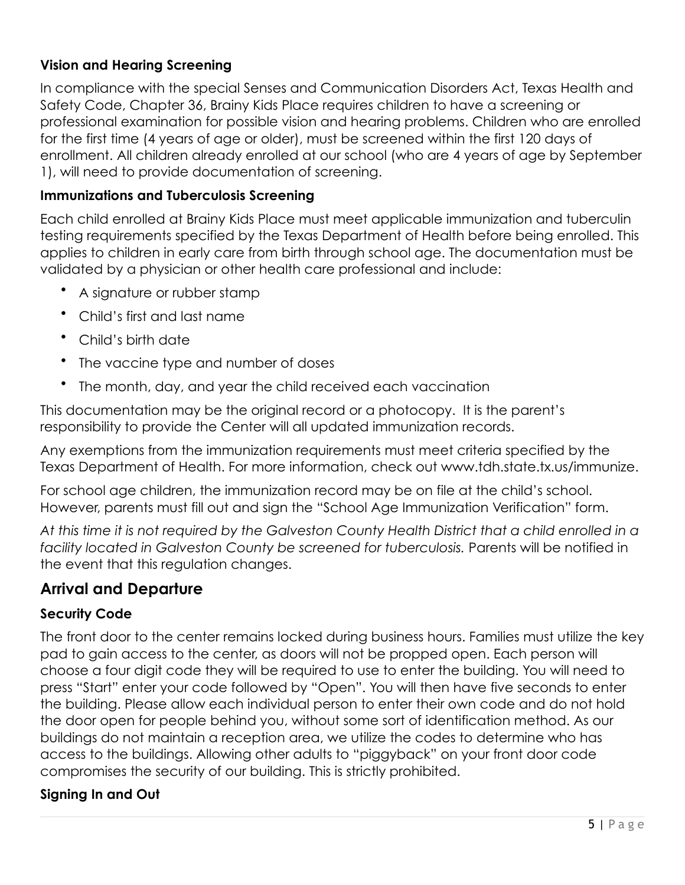### **Vision and Hearing Screening**

In compliance with the special Senses and Communication Disorders Act, Texas Health and Safety Code, Chapter 36, Brainy Kids Place requires children to have a screening or professional examination for possible vision and hearing problems. Children who are enrolled for the first time (4 years of age or older), must be screened within the first 120 days of enrollment. All children already enrolled at our school (who are 4 years of age by September 1), will need to provide documentation of screening.

#### **Immunizations and Tuberculosis Screening**

Each child enrolled at Brainy Kids Place must meet applicable immunization and tuberculin testing requirements specified by the Texas Department of Health before being enrolled. This applies to children in early care from birth through school age. The documentation must be validated by a physician or other health care professional and include:

- A signature or rubber stamp
- Child's first and last name
- Child's birth date
- The vaccine type and number of doses
- The month, day, and year the child received each vaccination

This documentation may be the original record or a photocopy. It is the parent's responsibility to provide the Center will all updated immunization records.

Any exemptions from the immunization requirements must meet criteria specified by the Texas Department of Health. For more information, check out www.tdh.state.tx.us/immunize.

For school age children, the immunization record may be on file at the child's school. However, parents must fill out and sign the "School Age Immunization Verification" form.

*At this time it is not required by the Galveston County Health District that a child enrolled in a facility located in Galveston County be screened for tuberculosis.* Parents will be notified in the event that this regulation changes.

## **Arrival and Departure**

#### **Security Code**

The front door to the center remains locked during business hours. Families must utilize the key pad to gain access to the center, as doors will not be propped open. Each person will choose a four digit code they will be required to use to enter the building. You will need to press "Start" enter your code followed by "Open". You will then have five seconds to enter the building. Please allow each individual person to enter their own code and do not hold the door open for people behind you, without some sort of identification method. As our buildings do not maintain a reception area, we utilize the codes to determine who has access to the buildings. Allowing other adults to "piggyback" on your front door code compromises the security of our building. This is strictly prohibited.

#### **Signing In and Out**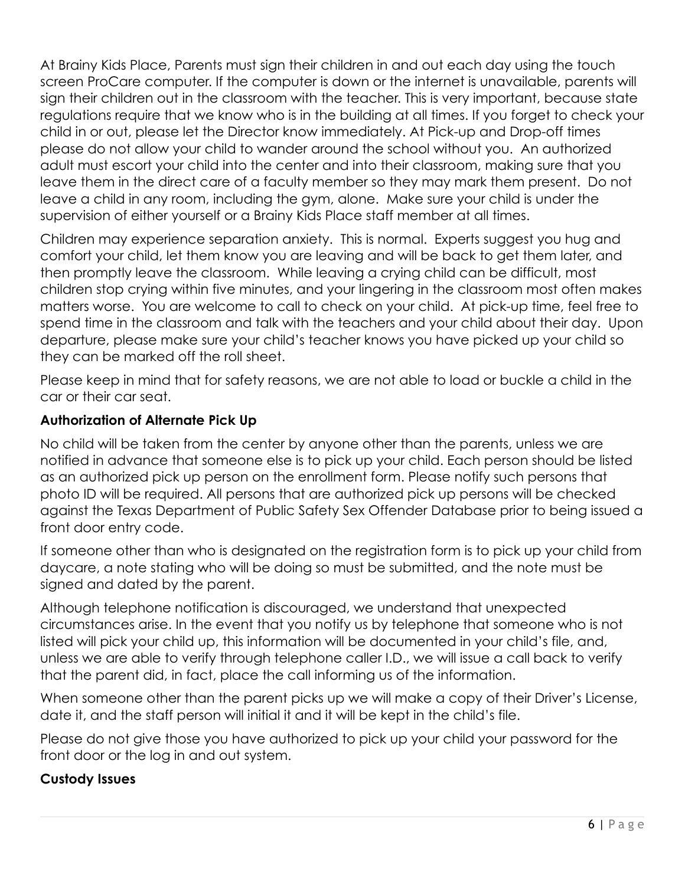At Brainy Kids Place, Parents must sign their children in and out each day using the touch screen ProCare computer. If the computer is down or the internet is unavailable, parents will sign their children out in the classroom with the teacher. This is very important, because state regulations require that we know who is in the building at all times. If you forget to check your child in or out, please let the Director know immediately. At Pick-up and Drop-off times please do not allow your child to wander around the school without you. An authorized adult must escort your child into the center and into their classroom, making sure that you leave them in the direct care of a faculty member so they may mark them present. Do not leave a child in any room, including the gym, alone. Make sure your child is under the supervision of either yourself or a Brainy Kids Place staff member at all times.

Children may experience separation anxiety. This is normal. Experts suggest you hug and comfort your child, let them know you are leaving and will be back to get them later, and then promptly leave the classroom. While leaving a crying child can be difficult, most children stop crying within five minutes, and your lingering in the classroom most often makes matters worse. You are welcome to call to check on your child. At pick-up time, feel free to spend time in the classroom and talk with the teachers and your child about their day. Upon departure, please make sure your child's teacher knows you have picked up your child so they can be marked off the roll sheet.

Please keep in mind that for safety reasons, we are not able to load or buckle a child in the car or their car seat.

### **Authorization of Alternate Pick Up**

No child will be taken from the center by anyone other than the parents, unless we are notified in advance that someone else is to pick up your child. Each person should be listed as an authorized pick up person on the enrollment form. Please notify such persons that photo ID will be required. All persons that are authorized pick up persons will be checked against the Texas Department of Public Safety Sex Offender Database prior to being issued a front door entry code.

If someone other than who is designated on the registration form is to pick up your child from daycare, a note stating who will be doing so must be submitted, and the note must be signed and dated by the parent.

Although telephone notification is discouraged, we understand that unexpected circumstances arise. In the event that you notify us by telephone that someone who is not listed will pick your child up, this information will be documented in your child's file, and, unless we are able to verify through telephone caller I.D., we will issue a call back to verify that the parent did, in fact, place the call informing us of the information.

When someone other than the parent picks up we will make a copy of their Driver's License, date it, and the staff person will initial it and it will be kept in the child's file.

Please do not give those you have authorized to pick up your child your password for the front door or the log in and out system.

#### **Custody Issues**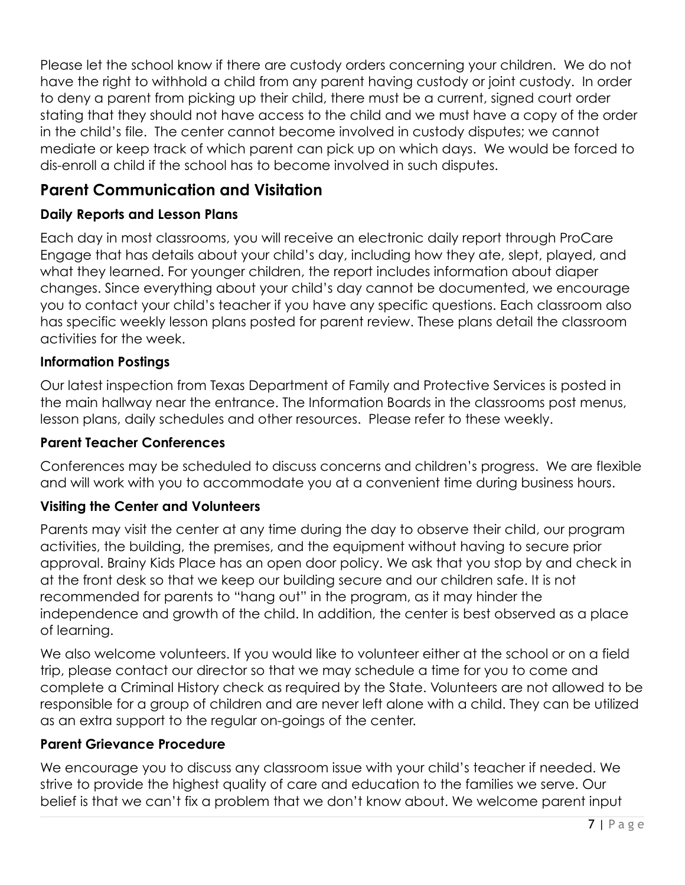Please let the school know if there are custody orders concerning your children. We do not have the right to withhold a child from any parent having custody or joint custody. In order to deny a parent from picking up their child, there must be a current, signed court order stating that they should not have access to the child and we must have a copy of the order in the child's file. The center cannot become involved in custody disputes; we cannot mediate or keep track of which parent can pick up on which days. We would be forced to dis-enroll a child if the school has to become involved in such disputes.

# **Parent Communication and Visitation**

### **Daily Reports and Lesson Plans**

Each day in most classrooms, you will receive an electronic daily report through ProCare Engage that has details about your child's day, including how they ate, slept, played, and what they learned. For younger children, the report includes information about diaper changes. Since everything about your child's day cannot be documented, we encourage you to contact your child's teacher if you have any specific questions. Each classroom also has specific weekly lesson plans posted for parent review. These plans detail the classroom activities for the week.

#### **Information Postings**

Our latest inspection from Texas Department of Family and Protective Services is posted in the main hallway near the entrance. The Information Boards in the classrooms post menus, lesson plans, daily schedules and other resources. Please refer to these weekly.

#### **Parent Teacher Conferences**

Conferences may be scheduled to discuss concerns and children's progress. We are flexible and will work with you to accommodate you at a convenient time during business hours.

#### **Visiting the Center and Volunteers**

Parents may visit the center at any time during the day to observe their child, our program activities, the building, the premises, and the equipment without having to secure prior approval. Brainy Kids Place has an open door policy. We ask that you stop by and check in at the front desk so that we keep our building secure and our children safe. It is not recommended for parents to "hang out" in the program, as it may hinder the independence and growth of the child. In addition, the center is best observed as a place of learning.

We also welcome volunteers. If you would like to volunteer either at the school or on a field trip, please contact our director so that we may schedule a time for you to come and complete a Criminal History check as required by the State. Volunteers are not allowed to be responsible for a group of children and are never left alone with a child. They can be utilized as an extra support to the regular on-goings of the center.

#### **Parent Grievance Procedure**

We encourage you to discuss any classroom issue with your child's teacher if needed. We strive to provide the highest quality of care and education to the families we serve. Our belief is that we can't fix a problem that we don't know about. We welcome parent input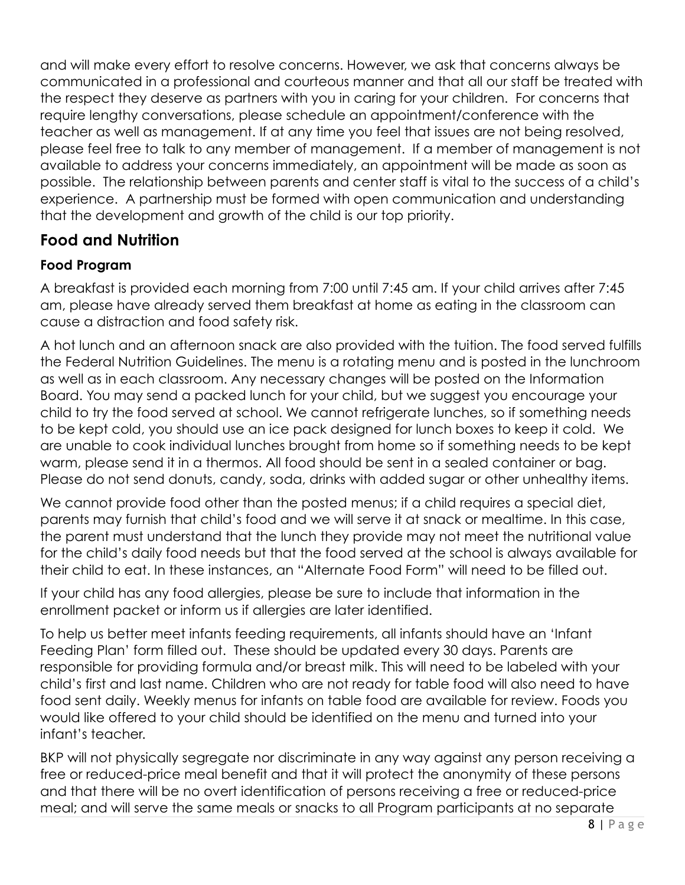and will make every effort to resolve concerns. However, we ask that concerns always be communicated in a professional and courteous manner and that all our staff be treated with the respect they deserve as partners with you in caring for your children. For concerns that require lengthy conversations, please schedule an appointment/conference with the teacher as well as management. If at any time you feel that issues are not being resolved, please feel free to talk to any member of management. If a member of management is not available to address your concerns immediately, an appointment will be made as soon as possible. The relationship between parents and center staff is vital to the success of a child's experience. A partnership must be formed with open communication and understanding that the development and growth of the child is our top priority.

# **Food and Nutrition**

### **Food Program**

A breakfast is provided each morning from 7:00 until 7:45 am. If your child arrives after 7:45 am, please have already served them breakfast at home as eating in the classroom can cause a distraction and food safety risk.

A hot lunch and an afternoon snack are also provided with the tuition. The food served fulfills the Federal Nutrition Guidelines. The menu is a rotating menu and is posted in the lunchroom as well as in each classroom. Any necessary changes will be posted on the Information Board. You may send a packed lunch for your child, but we suggest you encourage your child to try the food served at school. We cannot refrigerate lunches, so if something needs to be kept cold, you should use an ice pack designed for lunch boxes to keep it cold. We are unable to cook individual lunches brought from home so if something needs to be kept warm, please send it in a thermos. All food should be sent in a sealed container or bag. Please do not send donuts, candy, soda, drinks with added sugar or other unhealthy items.

We cannot provide food other than the posted menus; if a child requires a special diet, parents may furnish that child's food and we will serve it at snack or mealtime. In this case, the parent must understand that the lunch they provide may not meet the nutritional value for the child's daily food needs but that the food served at the school is always available for their child to eat. In these instances, an "Alternate Food Form" will need to be filled out.

If your child has any food allergies, please be sure to include that information in the enrollment packet or inform us if allergies are later identified.

To help us better meet infants feeding requirements, all infants should have an 'Infant Feeding Plan' form filled out. These should be updated every 30 days. Parents are responsible for providing formula and/or breast milk. This will need to be labeled with your child's first and last name. Children who are not ready for table food will also need to have food sent daily. Weekly menus for infants on table food are available for review. Foods you would like offered to your child should be identified on the menu and turned into your infant's teacher.

BKP will not physically segregate nor discriminate in any way against any person receiving a free or reduced-price meal benefit and that it will protect the anonymity of these persons and that there will be no overt identification of persons receiving a free or reduced-price meal; and will serve the same meals or snacks to all Program participants at no separate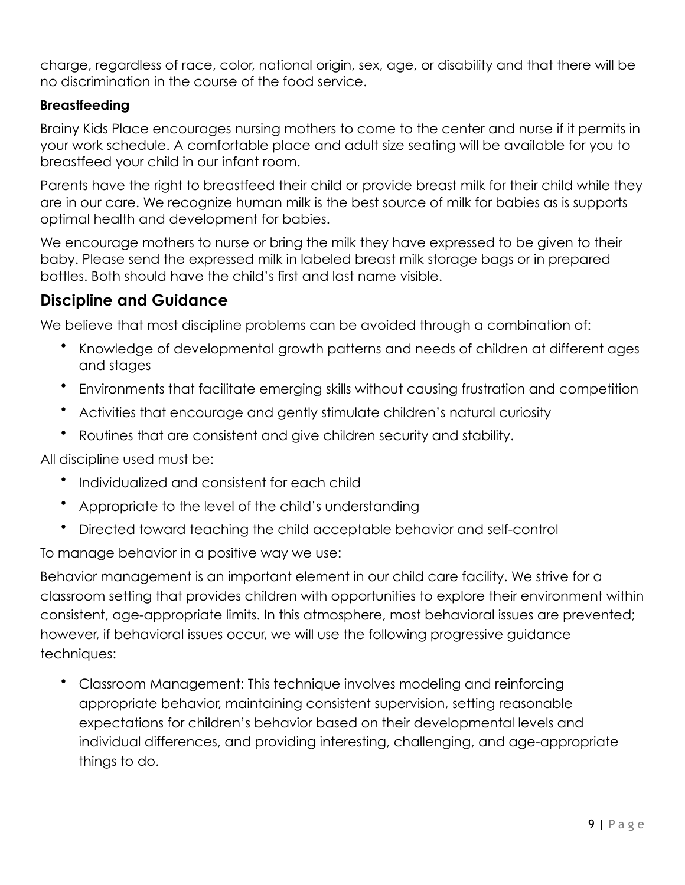charge, regardless of race, color, national origin, sex, age, or disability and that there will be no discrimination in the course of the food service.

#### **Breastfeeding**

Brainy Kids Place encourages nursing mothers to come to the center and nurse if it permits in your work schedule. A comfortable place and adult size seating will be available for you to breastfeed your child in our infant room.

Parents have the right to breastfeed their child or provide breast milk for their child while they are in our care. We recognize human milk is the best source of milk for babies as is supports optimal health and development for babies.

We encourage mothers to nurse or bring the milk they have expressed to be given to their baby. Please send the expressed milk in labeled breast milk storage bags or in prepared bottles. Both should have the child's first and last name visible.

# **Discipline and Guidance**

We believe that most discipline problems can be avoided through a combination of:

- Knowledge of developmental growth patterns and needs of children at different ages and stages
- Environments that facilitate emerging skills without causing frustration and competition
- Activities that encourage and gently stimulate children's natural curiosity
- Routines that are consistent and give children security and stability.

All discipline used must be:

- Individualized and consistent for each child
- Appropriate to the level of the child's understanding
- Directed toward teaching the child acceptable behavior and self-control

To manage behavior in a positive way we use:

Behavior management is an important element in our child care facility. We strive for a classroom setting that provides children with opportunities to explore their environment within consistent, age-appropriate limits. In this atmosphere, most behavioral issues are prevented; however, if behavioral issues occur, we will use the following progressive guidance techniques:

• Classroom Management: This technique involves modeling and reinforcing appropriate behavior, maintaining consistent supervision, setting reasonable expectations for children's behavior based on their developmental levels and individual differences, and providing interesting, challenging, and age-appropriate things to do.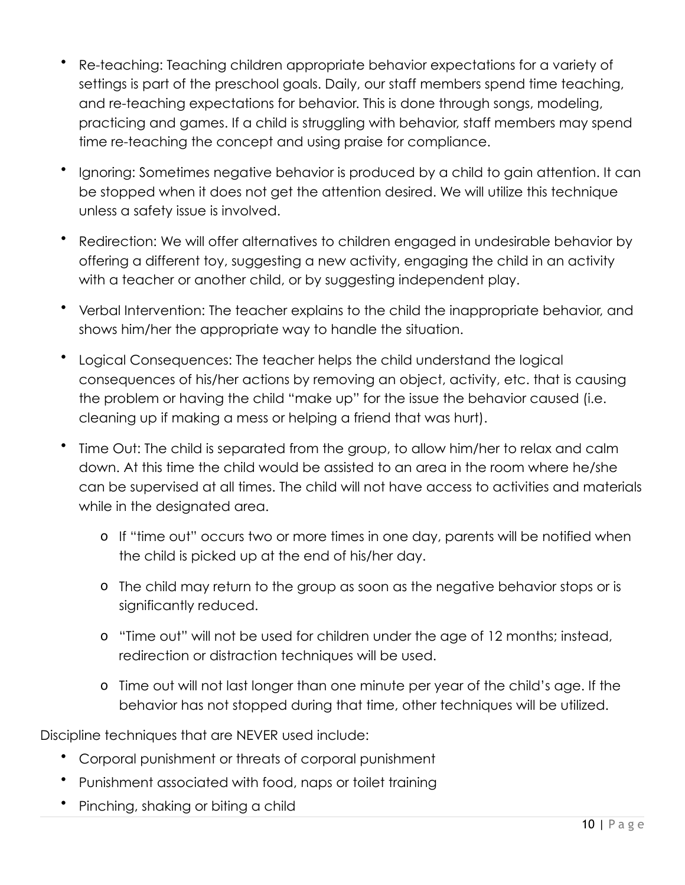- Re-teaching: Teaching children appropriate behavior expectations for a variety of settings is part of the preschool goals. Daily, our staff members spend time teaching, and re-teaching expectations for behavior. This is done through songs, modeling, practicing and games. If a child is struggling with behavior, staff members may spend time re-teaching the concept and using praise for compliance.
- Ignoring: Sometimes negative behavior is produced by a child to gain attention. It can be stopped when it does not get the attention desired. We will utilize this technique unless a safety issue is involved.
- Redirection: We will offer alternatives to children engaged in undesirable behavior by offering a different toy, suggesting a new activity, engaging the child in an activity with a teacher or another child, or by suggesting independent play.
- Verbal Intervention: The teacher explains to the child the inappropriate behavior, and shows him/her the appropriate way to handle the situation.
- Logical Consequences: The teacher helps the child understand the logical consequences of his/her actions by removing an object, activity, etc. that is causing the problem or having the child "make up" for the issue the behavior caused (i.e. cleaning up if making a mess or helping a friend that was hurt).
- Time Out: The child is separated from the group, to allow him/her to relax and calm down. At this time the child would be assisted to an area in the room where he/she can be supervised at all times. The child will not have access to activities and materials while in the designated area.
	- o If "time out" occurs two or more times in one day, parents will be notified when the child is picked up at the end of his/her day.
	- o The child may return to the group as soon as the negative behavior stops or is significantly reduced.
	- o "Time out" will not be used for children under the age of 12 months; instead, redirection or distraction techniques will be used.
	- o Time out will not last longer than one minute per year of the child's age. If the behavior has not stopped during that time, other techniques will be utilized.

Discipline techniques that are NEVER used include:

- Corporal punishment or threats of corporal punishment
- Punishment associated with food, naps or toilet training
- Pinching, shaking or biting a child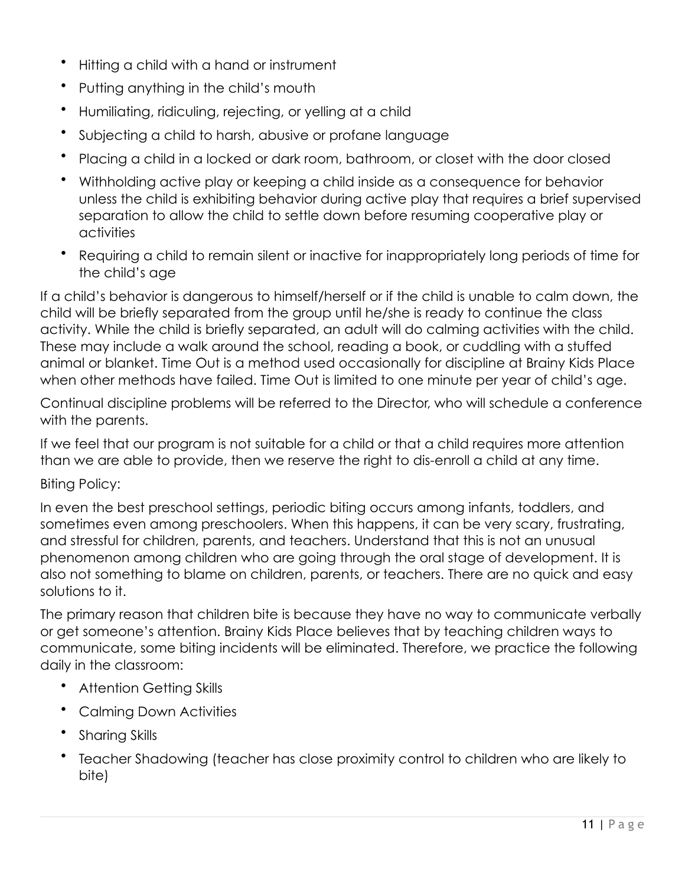- Hitting a child with a hand or instrument
- Putting anything in the child's mouth
- Humiliating, ridiculing, rejecting, or yelling at a child
- Subjecting a child to harsh, abusive or profane language
- Placing a child in a locked or dark room, bathroom, or closet with the door closed
- Withholding active play or keeping a child inside as a consequence for behavior unless the child is exhibiting behavior during active play that requires a brief supervised separation to allow the child to settle down before resuming cooperative play or activities
- Requiring a child to remain silent or inactive for inappropriately long periods of time for the child's age

If a child's behavior is dangerous to himself/herself or if the child is unable to calm down, the child will be briefly separated from the group until he/she is ready to continue the class activity. While the child is briefly separated, an adult will do calming activities with the child. These may include a walk around the school, reading a book, or cuddling with a stuffed animal or blanket. Time Out is a method used occasionally for discipline at Brainy Kids Place when other methods have failed. Time Out is limited to one minute per year of child's age.

Continual discipline problems will be referred to the Director, who will schedule a conference with the parents.

If we feel that our program is not suitable for a child or that a child requires more attention than we are able to provide, then we reserve the right to dis-enroll a child at any time.

#### Biting Policy:

In even the best preschool settings, periodic biting occurs among infants, toddlers, and sometimes even among preschoolers. When this happens, it can be very scary, frustrating, and stressful for children, parents, and teachers. Understand that this is not an unusual phenomenon among children who are going through the oral stage of development. It is also not something to blame on children, parents, or teachers. There are no quick and easy solutions to it.

The primary reason that children bite is because they have no way to communicate verbally or get someone's attention. Brainy Kids Place believes that by teaching children ways to communicate, some biting incidents will be eliminated. Therefore, we practice the following daily in the classroom:

- Attention Getting Skills
- Calming Down Activities
- Sharing Skills
- Teacher Shadowing (teacher has close proximity control to children who are likely to bite)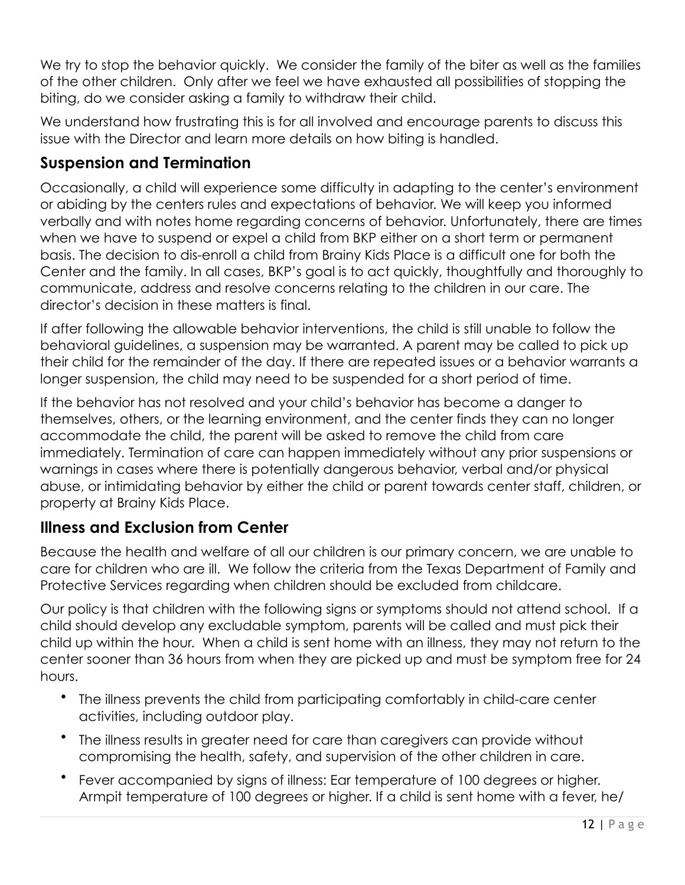We try to stop the behavior quickly. We consider the family of the biter as well as the families of the other children. Only after we feel we have exhausted all possibilities of stopping the biting, do we consider asking a family to withdraw their child.

We understand how frustrating this is for all involved and encourage parents to discuss this issue with the Director and learn more details on how biting is handled.

## **Suspension and Termination**

Occasionally, a child will experience some difficulty in adapting to the center's environment or abiding by the centers rules and expectations of behavior. We will keep you informed verbally and with notes home regarding concerns of behavior. Unfortunately, there are times when we have to suspend or expel a child from BKP either on a short term or permanent basis. The decision to dis-enroll a child from Brainy Kids Place is a difficult one for both the Center and the family. In all cases, BKP's goal is to act quickly, thoughtfully and thoroughly to communicate, address and resolve concerns relating to the children in our care. The director's decision in these matters is final.

If after following the allowable behavior interventions, the child is still unable to follow the behavioral guidelines, a suspension may be warranted. A parent may be called to pick up their child for the remainder of the day. If there are repeated issues or a behavior warrants a longer suspension, the child may need to be suspended for a short period of time.

If the behavior has not resolved and your child's behavior has become a danger to themselves, others, or the learning environment, and the center finds they can no longer accommodate the child, the parent will be asked to remove the child from care immediately. Termination of care can happen immediately without any prior suspensions or warnings in cases where there is potentially dangerous behavior, verbal and/or physical abuse, or intimidating behavior by either the child or parent towards center staff, children, or property at Brainy Kids Place.

# **Illness and Exclusion from Center**

Because the health and welfare of all our children is our primary concern, we are unable to care for children who are ill. We follow the criteria from the Texas Department of Family and Protective Services regarding when children should be excluded from childcare.

Our policy is that children with the following signs or symptoms should not attend school. If a child should develop any excludable symptom, parents will be called and must pick their child up within the hour. When a child is sent home with an illness, they may not return to the center sooner than 36 hours from when they are picked up and must be symptom free for 24 hours.

- The illness prevents the child from participating comfortably in child-care center activities, including outdoor play.
- The illness results in greater need for care than caregivers can provide without compromising the health, safety, and supervision of the other children in care.
- Fever accompanied by signs of illness: Ear temperature of 100 degrees or higher. Armpit temperature of 100 degrees or higher. If a child is sent home with a fever, he/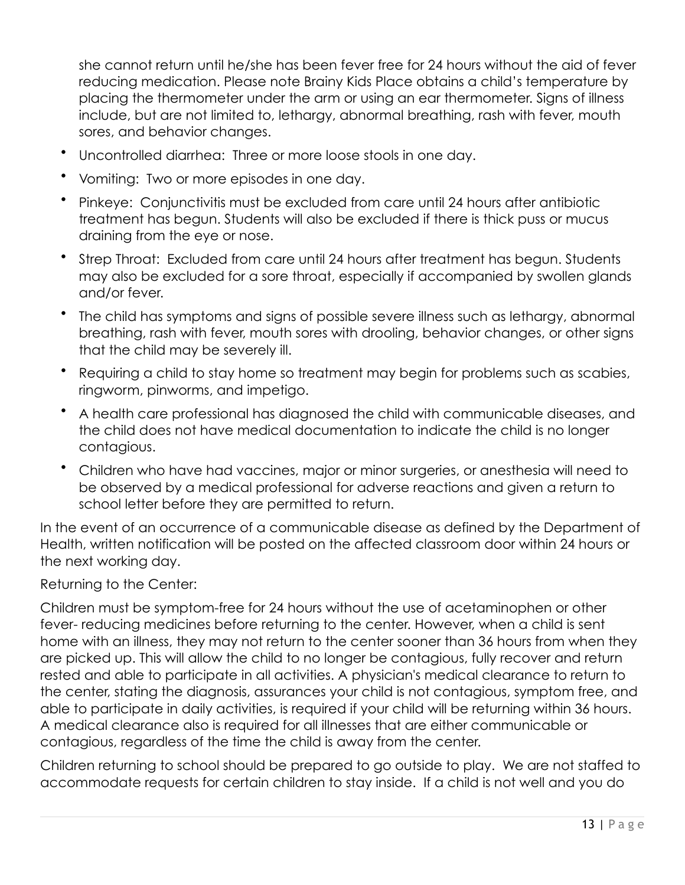she cannot return until he/she has been fever free for 24 hours without the aid of fever reducing medication. Please note Brainy Kids Place obtains a child's temperature by placing the thermometer under the arm or using an ear thermometer. Signs of illness include, but are not limited to, lethargy, abnormal breathing, rash with fever, mouth sores, and behavior changes.

- Uncontrolled diarrhea: Three or more loose stools in one day.
- Vomiting: Two or more episodes in one day.
- Pinkeye: Conjunctivitis must be excluded from care until 24 hours after antibiotic treatment has begun. Students will also be excluded if there is thick puss or mucus draining from the eye or nose.
- Strep Throat: Excluded from care until 24 hours after treatment has begun. Students may also be excluded for a sore throat, especially if accompanied by swollen glands and/or fever.
- The child has symptoms and signs of possible severe illness such as lethargy, abnormal breathing, rash with fever, mouth sores with drooling, behavior changes, or other signs that the child may be severely ill.
- Requiring a child to stay home so treatment may begin for problems such as scabies, ringworm, pinworms, and impetigo.
- A health care professional has diagnosed the child with communicable diseases, and the child does not have medical documentation to indicate the child is no longer contagious.
- Children who have had vaccines, major or minor surgeries, or anesthesia will need to be observed by a medical professional for adverse reactions and given a return to school letter before they are permitted to return.

In the event of an occurrence of a communicable disease as defined by the Department of Health, written notification will be posted on the affected classroom door within 24 hours or the next working day.

#### Returning to the Center:

Children must be symptom-free for 24 hours without the use of acetaminophen or other fever- reducing medicines before returning to the center. However, when a child is sent home with an illness, they may not return to the center sooner than 36 hours from when they are picked up. This will allow the child to no longer be contagious, fully recover and return rested and able to participate in all activities. A physician's medical clearance to return to the center, stating the diagnosis, assurances your child is not contagious, symptom free, and able to participate in daily activities, is required if your child will be returning within 36 hours. A medical clearance also is required for all illnesses that are either communicable or contagious, regardless of the time the child is away from the center.

Children returning to school should be prepared to go outside to play. We are not staffed to accommodate requests for certain children to stay inside. If a child is not well and you do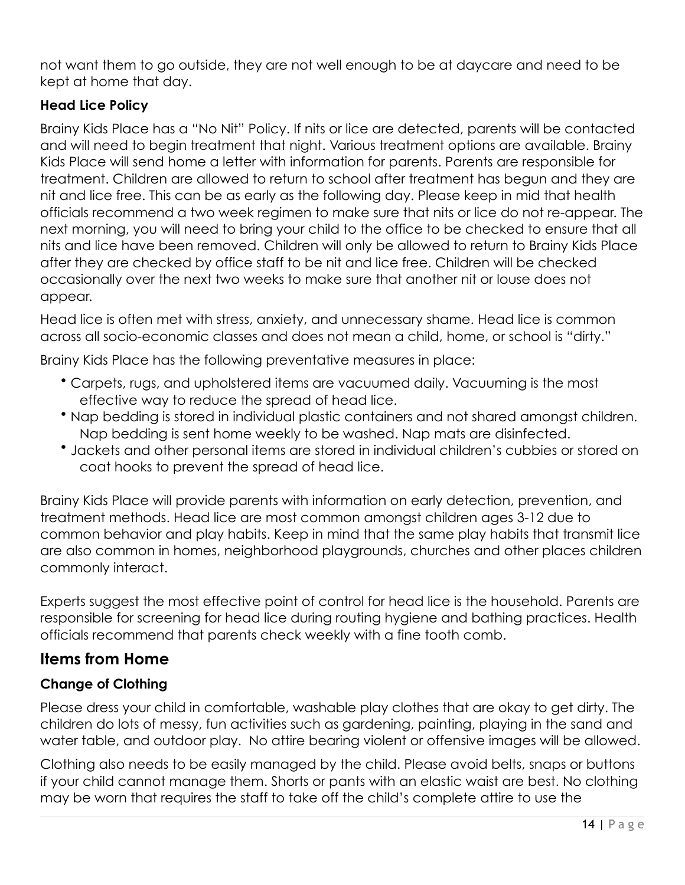not want them to go outside, they are not well enough to be at daycare and need to be kept at home that day.

#### **Head Lice Policy**

Brainy Kids Place has a "No Nit" Policy. If nits or lice are detected, parents will be contacted and will need to begin treatment that night. Various treatment options are available. Brainy Kids Place will send home a letter with information for parents. Parents are responsible for treatment. Children are allowed to return to school after treatment has begun and they are nit and lice free. This can be as early as the following day. Please keep in mid that health officials recommend a two week regimen to make sure that nits or lice do not re-appear. The next morning, you will need to bring your child to the office to be checked to ensure that all nits and lice have been removed. Children will only be allowed to return to Brainy Kids Place after they are checked by office staff to be nit and lice free. Children will be checked occasionally over the next two weeks to make sure that another nit or louse does not appear.

Head lice is often met with stress, anxiety, and unnecessary shame. Head lice is common across all socio-economic classes and does not mean a child, home, or school is "dirty."

Brainy Kids Place has the following preventative measures in place:

- Carpets, rugs, and upholstered items are vacuumed daily. Vacuuming is the most effective way to reduce the spread of head lice.
- Nap bedding is stored in individual plastic containers and not shared amongst children. Nap bedding is sent home weekly to be washed. Nap mats are disinfected.
- Jackets and other personal items are stored in individual children's cubbies or stored on coat hooks to prevent the spread of head lice.

Brainy Kids Place will provide parents with information on early detection, prevention, and treatment methods. Head lice are most common amongst children ages 3-12 due to common behavior and play habits. Keep in mind that the same play habits that transmit lice are also common in homes, neighborhood playgrounds, churches and other places children commonly interact.

Experts suggest the most effective point of control for head lice is the household. Parents are responsible for screening for head lice during routing hygiene and bathing practices. Health officials recommend that parents check weekly with a fine tooth comb.

## **Items from Home**

### **Change of Clothing**

Please dress your child in comfortable, washable play clothes that are okay to get dirty. The children do lots of messy, fun activities such as gardening, painting, playing in the sand and water table, and outdoor play. No attire bearing violent or offensive images will be allowed.

Clothing also needs to be easily managed by the child. Please avoid belts, snaps or buttons if your child cannot manage them. Shorts or pants with an elastic waist are best. No clothing may be worn that requires the staff to take off the child's complete attire to use the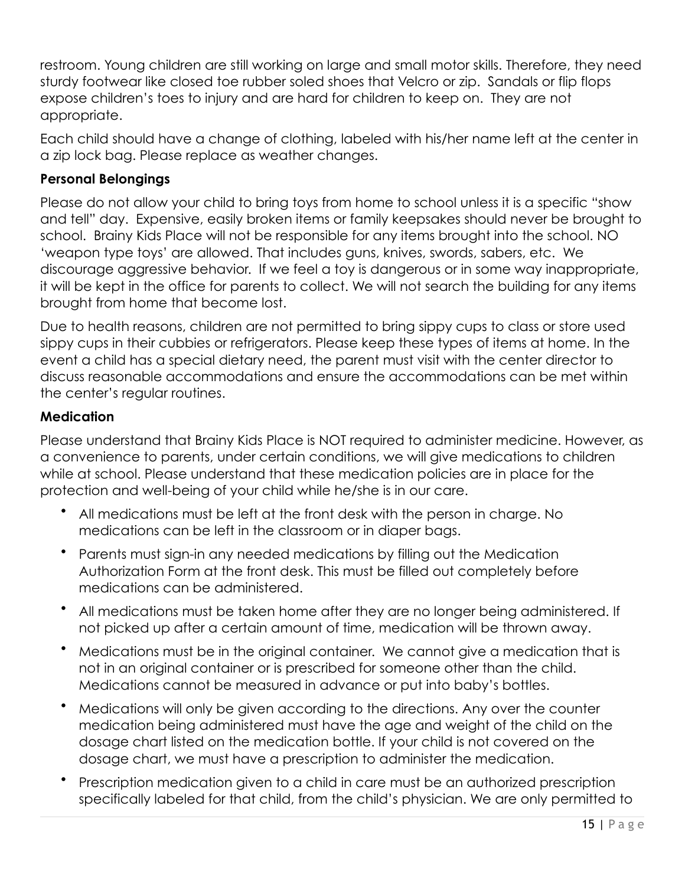restroom. Young children are still working on large and small motor skills. Therefore, they need sturdy footwear like closed toe rubber soled shoes that Velcro or zip. Sandals or flip flops expose children's toes to injury and are hard for children to keep on. They are not appropriate.

Each child should have a change of clothing, labeled with his/her name left at the center in a zip lock bag. Please replace as weather changes.

### **Personal Belongings**

Please do not allow your child to bring toys from home to school unless it is a specific "show and tell" day. Expensive, easily broken items or family keepsakes should never be brought to school. Brainy Kids Place will not be responsible for any items brought into the school. NO 'weapon type toys' are allowed. That includes guns, knives, swords, sabers, etc. We discourage aggressive behavior. If we feel a toy is dangerous or in some way inappropriate, it will be kept in the office for parents to collect. We will not search the building for any items brought from home that become lost.

Due to health reasons, children are not permitted to bring sippy cups to class or store used sippy cups in their cubbies or refrigerators. Please keep these types of items at home. In the event a child has a special dietary need, the parent must visit with the center director to discuss reasonable accommodations and ensure the accommodations can be met within the center's regular routines.

### **Medication**

Please understand that Brainy Kids Place is NOT required to administer medicine. However, as a convenience to parents, under certain conditions, we will give medications to children while at school. Please understand that these medication policies are in place for the protection and well-being of your child while he/she is in our care.

- All medications must be left at the front desk with the person in charge. No medications can be left in the classroom or in diaper bags.
- Parents must sign-in any needed medications by filling out the Medication Authorization Form at the front desk. This must be filled out completely before medications can be administered.
- All medications must be taken home after they are no longer being administered. If not picked up after a certain amount of time, medication will be thrown away.
- Medications must be in the original container. We cannot give a medication that is not in an original container or is prescribed for someone other than the child. Medications cannot be measured in advance or put into baby's bottles.
- Medications will only be given according to the directions. Any over the counter medication being administered must have the age and weight of the child on the dosage chart listed on the medication bottle. If your child is not covered on the dosage chart, we must have a prescription to administer the medication.
- Prescription medication given to a child in care must be an authorized prescription specifically labeled for that child, from the child's physician. We are only permitted to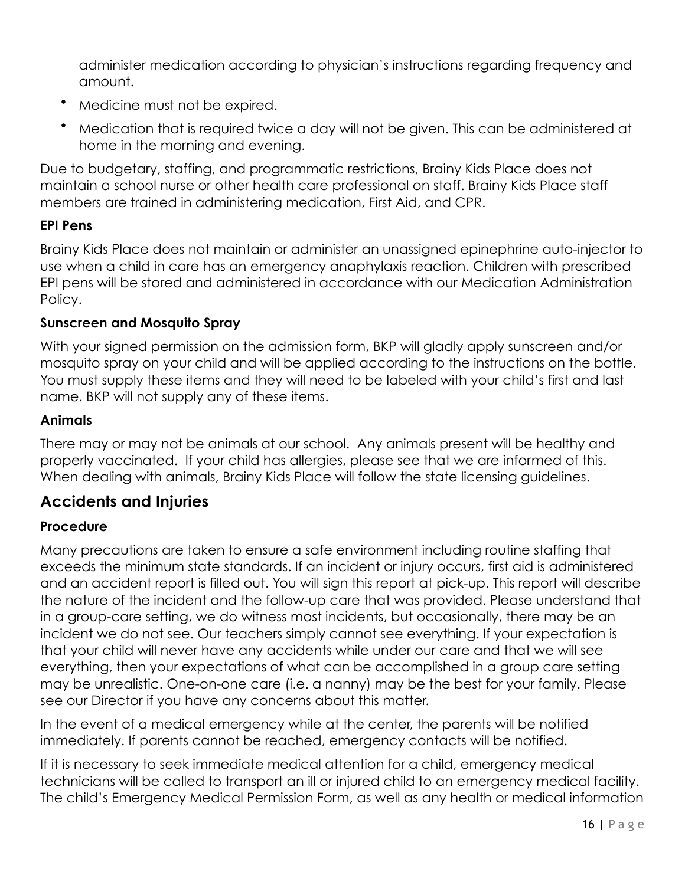administer medication according to physician's instructions regarding frequency and amount.

- Medicine must not be expired.
- Medication that is required twice a day will not be given. This can be administered at home in the morning and evening.

Due to budgetary, staffing, and programmatic restrictions, Brainy Kids Place does not maintain a school nurse or other health care professional on staff. Brainy Kids Place staff members are trained in administering medication, First Aid, and CPR.

### **EPI Pens**

Brainy Kids Place does not maintain or administer an unassigned epinephrine auto-injector to use when a child in care has an emergency anaphylaxis reaction. Children with prescribed EPI pens will be stored and administered in accordance with our Medication Administration Policy.

#### **Sunscreen and Mosquito Spray**

With your signed permission on the admission form, BKP will gladly apply sunscreen and/or mosquito spray on your child and will be applied according to the instructions on the bottle. You must supply these items and they will need to be labeled with your child's first and last name. BKP will not supply any of these items.

#### **Animals**

There may or may not be animals at our school. Any animals present will be healthy and properly vaccinated. If your child has allergies, please see that we are informed of this. When dealing with animals, Brainy Kids Place will follow the state licensing guidelines.

# **Accidents and Injuries**

#### **Procedure**

Many precautions are taken to ensure a safe environment including routine staffing that exceeds the minimum state standards. If an incident or injury occurs, first aid is administered and an accident report is filled out. You will sign this report at pick-up. This report will describe the nature of the incident and the follow-up care that was provided. Please understand that in a group-care setting, we do witness most incidents, but occasionally, there may be an incident we do not see. Our teachers simply cannot see everything. If your expectation is that your child will never have any accidents while under our care and that we will see everything, then your expectations of what can be accomplished in a group care setting may be unrealistic. One-on-one care (i.e. a nanny) may be the best for your family. Please see our Director if you have any concerns about this matter.

In the event of a medical emergency while at the center, the parents will be notified immediately. If parents cannot be reached, emergency contacts will be notified.

If it is necessary to seek immediate medical attention for a child, emergency medical technicians will be called to transport an ill or injured child to an emergency medical facility. The child's Emergency Medical Permission Form, as well as any health or medical information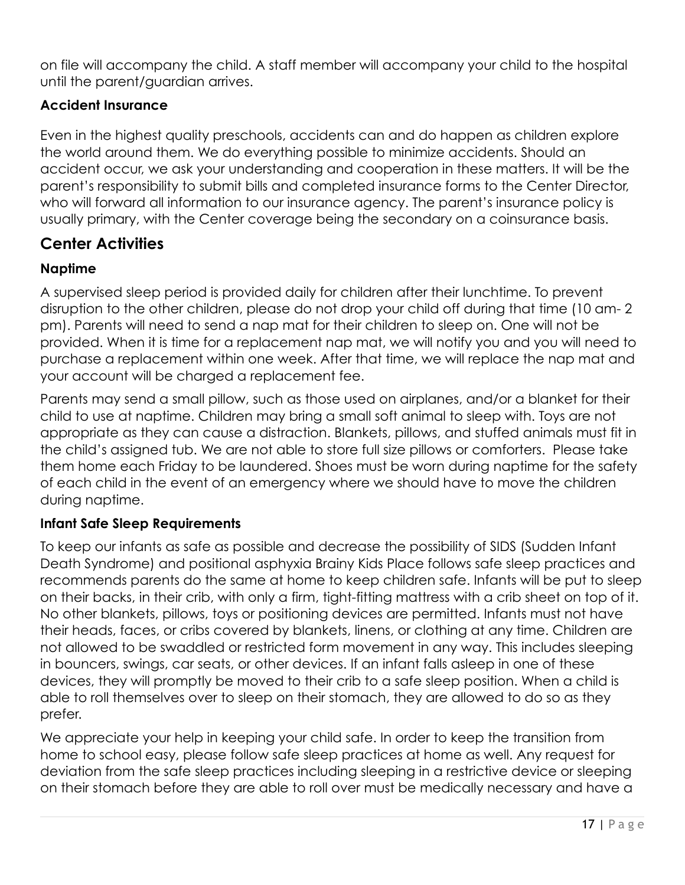on file will accompany the child. A staff member will accompany your child to the hospital until the parent/guardian arrives.

### **Accident Insurance**

Even in the highest quality preschools, accidents can and do happen as children explore the world around them. We do everything possible to minimize accidents. Should an accident occur, we ask your understanding and cooperation in these matters. It will be the parent's responsibility to submit bills and completed insurance forms to the Center Director, who will forward all information to our insurance agency. The parent's insurance policy is usually primary, with the Center coverage being the secondary on a coinsurance basis.

# **Center Activities**

### **Naptime**

A supervised sleep period is provided daily for children after their lunchtime. To prevent disruption to the other children, please do not drop your child off during that time (10 am- 2 pm). Parents will need to send a nap mat for their children to sleep on. One will not be provided. When it is time for a replacement nap mat, we will notify you and you will need to purchase a replacement within one week. After that time, we will replace the nap mat and your account will be charged a replacement fee.

Parents may send a small pillow, such as those used on airplanes, and/or a blanket for their child to use at naptime. Children may bring a small soft animal to sleep with. Toys are not appropriate as they can cause a distraction. Blankets, pillows, and stuffed animals must fit in the child's assigned tub. We are not able to store full size pillows or comforters. Please take them home each Friday to be laundered. Shoes must be worn during naptime for the safety of each child in the event of an emergency where we should have to move the children during naptime.

#### **Infant Safe Sleep Requirements**

To keep our infants as safe as possible and decrease the possibility of SIDS (Sudden Infant Death Syndrome) and positional asphyxia Brainy Kids Place follows safe sleep practices and recommends parents do the same at home to keep children safe. Infants will be put to sleep on their backs, in their crib, with only a firm, tight-fitting mattress with a crib sheet on top of it. No other blankets, pillows, toys or positioning devices are permitted. Infants must not have their heads, faces, or cribs covered by blankets, linens, or clothing at any time. Children are not allowed to be swaddled or restricted form movement in any way. This includes sleeping in bouncers, swings, car seats, or other devices. If an infant falls asleep in one of these devices, they will promptly be moved to their crib to a safe sleep position. When a child is able to roll themselves over to sleep on their stomach, they are allowed to do so as they prefer.

We appreciate your help in keeping your child safe. In order to keep the transition from home to school easy, please follow safe sleep practices at home as well. Any request for deviation from the safe sleep practices including sleeping in a restrictive device or sleeping on their stomach before they are able to roll over must be medically necessary and have a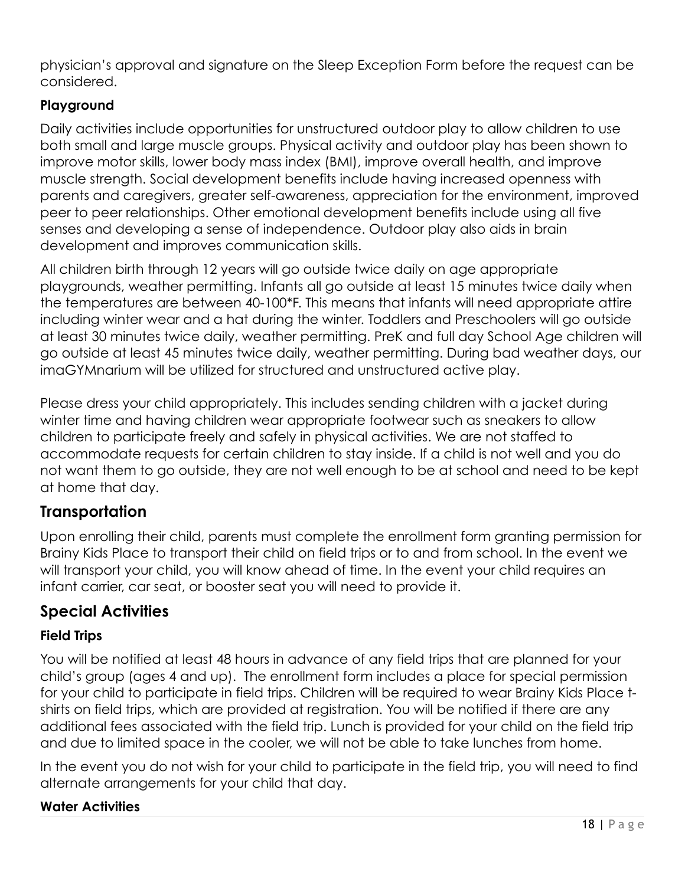physician's approval and signature on the Sleep Exception Form before the request can be considered.

## **Playground**

Daily activities include opportunities for unstructured outdoor play to allow children to use both small and large muscle groups. Physical activity and outdoor play has been shown to improve motor skills, lower body mass index (BMI), improve overall health, and improve muscle strength. Social development benefits include having increased openness with parents and caregivers, greater self-awareness, appreciation for the environment, improved peer to peer relationships. Other emotional development benefits include using all five senses and developing a sense of independence. Outdoor play also aids in brain development and improves communication skills.

All children birth through 12 years will go outside twice daily on age appropriate playgrounds, weather permitting. Infants all go outside at least 15 minutes twice daily when the temperatures are between 40-100\*F. This means that infants will need appropriate attire including winter wear and a hat during the winter. Toddlers and Preschoolers will go outside at least 30 minutes twice daily, weather permitting. PreK and full day School Age children will go outside at least 45 minutes twice daily, weather permitting. During bad weather days, our imaGYMnarium will be utilized for structured and unstructured active play.

Please dress your child appropriately. This includes sending children with a jacket during winter time and having children wear appropriate footwear such as sneakers to allow children to participate freely and safely in physical activities. We are not staffed to accommodate requests for certain children to stay inside. If a child is not well and you do not want them to go outside, they are not well enough to be at school and need to be kept at home that day.

# **Transportation**

Upon enrolling their child, parents must complete the enrollment form granting permission for Brainy Kids Place to transport their child on field trips or to and from school. In the event we will transport your child, you will know ahead of time. In the event your child requires an infant carrier, car seat, or booster seat you will need to provide it.

# **Special Activities**

### **Field Trips**

You will be notified at least 48 hours in advance of any field trips that are planned for your child's group (ages 4 and up). The enrollment form includes a place for special permission for your child to participate in field trips. Children will be required to wear Brainy Kids Place tshirts on field trips, which are provided at registration. You will be notified if there are any additional fees associated with the field trip. Lunch is provided for your child on the field trip and due to limited space in the cooler, we will not be able to take lunches from home.

In the event you do not wish for your child to participate in the field trip, you will need to find alternate arrangements for your child that day.

#### **Water Activities**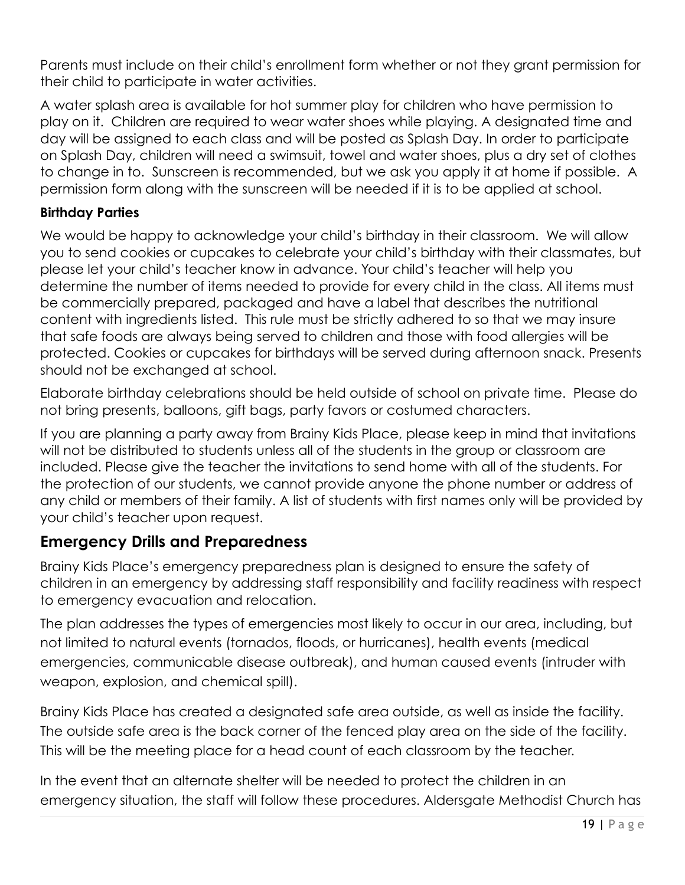Parents must include on their child's enrollment form whether or not they grant permission for their child to participate in water activities.

A water splash area is available for hot summer play for children who have permission to play on it. Children are required to wear water shoes while playing. A designated time and day will be assigned to each class and will be posted as Splash Day. In order to participate on Splash Day, children will need a swimsuit, towel and water shoes, plus a dry set of clothes to change in to. Sunscreen is recommended, but we ask you apply it at home if possible. A permission form along with the sunscreen will be needed if it is to be applied at school.

#### **Birthday Parties**

We would be happy to acknowledge your child's birthday in their classroom. We will allow you to send cookies or cupcakes to celebrate your child's birthday with their classmates, but please let your child's teacher know in advance. Your child's teacher will help you determine the number of items needed to provide for every child in the class. All items must be commercially prepared, packaged and have a label that describes the nutritional content with ingredients listed. This rule must be strictly adhered to so that we may insure that safe foods are always being served to children and those with food allergies will be protected. Cookies or cupcakes for birthdays will be served during afternoon snack. Presents should not be exchanged at school.

Elaborate birthday celebrations should be held outside of school on private time. Please do not bring presents, balloons, gift bags, party favors or costumed characters.

If you are planning a party away from Brainy Kids Place, please keep in mind that invitations will not be distributed to students unless all of the students in the group or classroom are included. Please give the teacher the invitations to send home with all of the students. For the protection of our students, we cannot provide anyone the phone number or address of any child or members of their family. A list of students with first names only will be provided by your child's teacher upon request.

## **Emergency Drills and Preparedness**

Brainy Kids Place's emergency preparedness plan is designed to ensure the safety of children in an emergency by addressing staff responsibility and facility readiness with respect to emergency evacuation and relocation.

The plan addresses the types of emergencies most likely to occur in our area, including, but not limited to natural events (tornados, floods, or hurricanes), health events (medical emergencies, communicable disease outbreak), and human caused events (intruder with weapon, explosion, and chemical spill).

Brainy Kids Place has created a designated safe area outside, as well as inside the facility. The outside safe area is the back corner of the fenced play area on the side of the facility. This will be the meeting place for a head count of each classroom by the teacher.

In the event that an alternate shelter will be needed to protect the children in an emergency situation, the staff will follow these procedures. Aldersgate Methodist Church has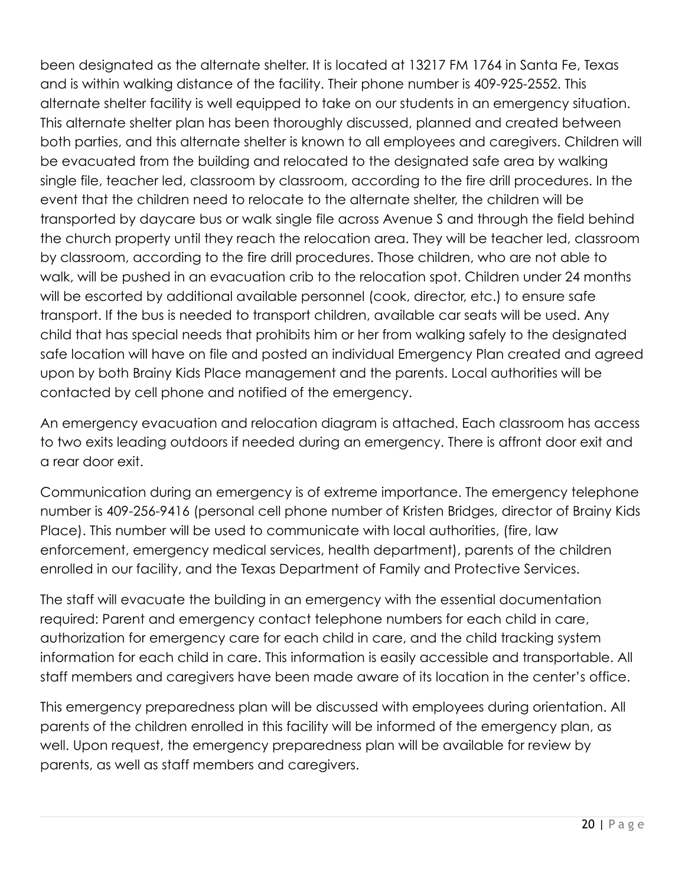been designated as the alternate shelter. It is located at 13217 FM 1764 in Santa Fe, Texas and is within walking distance of the facility. Their phone number is 409-925-2552. This alternate shelter facility is well equipped to take on our students in an emergency situation. This alternate shelter plan has been thoroughly discussed, planned and created between both parties, and this alternate shelter is known to all employees and caregivers. Children will be evacuated from the building and relocated to the designated safe area by walking single file, teacher led, classroom by classroom, according to the fire drill procedures. In the event that the children need to relocate to the alternate shelter, the children will be transported by daycare bus or walk single file across Avenue S and through the field behind the church property until they reach the relocation area. They will be teacher led, classroom by classroom, according to the fire drill procedures. Those children, who are not able to walk, will be pushed in an evacuation crib to the relocation spot. Children under 24 months will be escorted by additional available personnel (cook, director, etc.) to ensure safe transport. If the bus is needed to transport children, available car seats will be used. Any child that has special needs that prohibits him or her from walking safely to the designated safe location will have on file and posted an individual Emergency Plan created and agreed upon by both Brainy Kids Place management and the parents. Local authorities will be contacted by cell phone and notified of the emergency.

An emergency evacuation and relocation diagram is attached. Each classroom has access to two exits leading outdoors if needed during an emergency. There is affront door exit and a rear door exit.

Communication during an emergency is of extreme importance. The emergency telephone number is 409-256-9416 (personal cell phone number of Kristen Bridges, director of Brainy Kids Place). This number will be used to communicate with local authorities, (fire, law enforcement, emergency medical services, health department), parents of the children enrolled in our facility, and the Texas Department of Family and Protective Services.

The staff will evacuate the building in an emergency with the essential documentation required: Parent and emergency contact telephone numbers for each child in care, authorization for emergency care for each child in care, and the child tracking system information for each child in care. This information is easily accessible and transportable. All staff members and caregivers have been made aware of its location in the center's office.

This emergency preparedness plan will be discussed with employees during orientation. All parents of the children enrolled in this facility will be informed of the emergency plan, as well. Upon request, the emergency preparedness plan will be available for review by parents, as well as staff members and caregivers.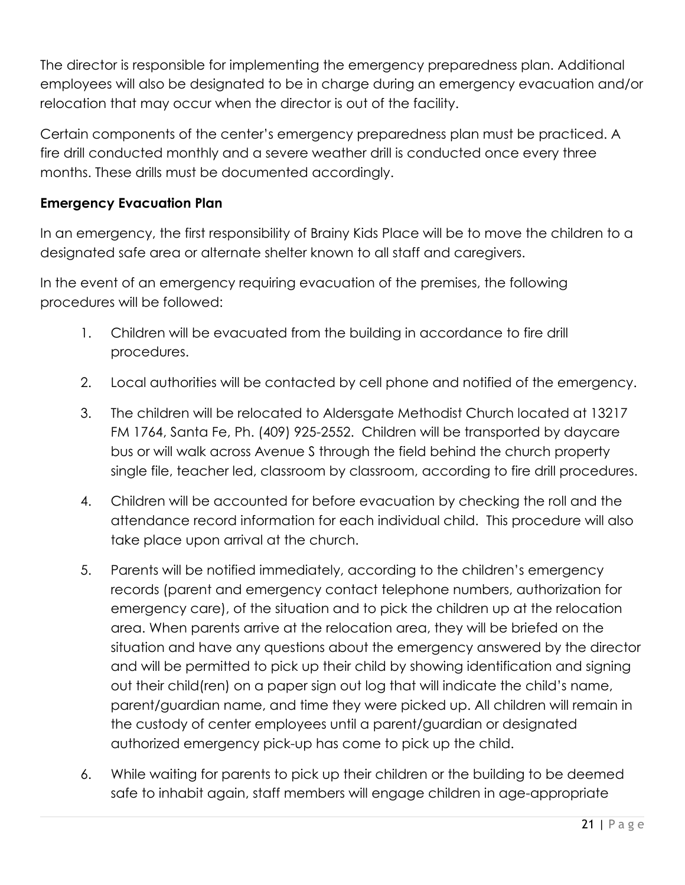The director is responsible for implementing the emergency preparedness plan. Additional employees will also be designated to be in charge during an emergency evacuation and/or relocation that may occur when the director is out of the facility.

Certain components of the center's emergency preparedness plan must be practiced. A fire drill conducted monthly and a severe weather drill is conducted once every three months. These drills must be documented accordingly.

#### **Emergency Evacuation Plan**

In an emergency, the first responsibility of Brainy Kids Place will be to move the children to a designated safe area or alternate shelter known to all staff and caregivers.

In the event of an emergency requiring evacuation of the premises, the following procedures will be followed:

- 1. Children will be evacuated from the building in accordance to fire drill procedures.
- 2. Local authorities will be contacted by cell phone and notified of the emergency.
- 3. The children will be relocated to Aldersgate Methodist Church located at 13217 FM 1764, Santa Fe, Ph. (409) 925-2552. Children will be transported by daycare bus or will walk across Avenue S through the field behind the church property single file, teacher led, classroom by classroom, according to fire drill procedures.
- 4. Children will be accounted for before evacuation by checking the roll and the attendance record information for each individual child. This procedure will also take place upon arrival at the church.
- 5. Parents will be notified immediately, according to the children's emergency records (parent and emergency contact telephone numbers, authorization for emergency care), of the situation and to pick the children up at the relocation area. When parents arrive at the relocation area, they will be briefed on the situation and have any questions about the emergency answered by the director and will be permitted to pick up their child by showing identification and signing out their child(ren) on a paper sign out log that will indicate the child's name, parent/guardian name, and time they were picked up. All children will remain in the custody of center employees until a parent/guardian or designated authorized emergency pick-up has come to pick up the child.
- 6. While waiting for parents to pick up their children or the building to be deemed safe to inhabit again, staff members will engage children in age-appropriate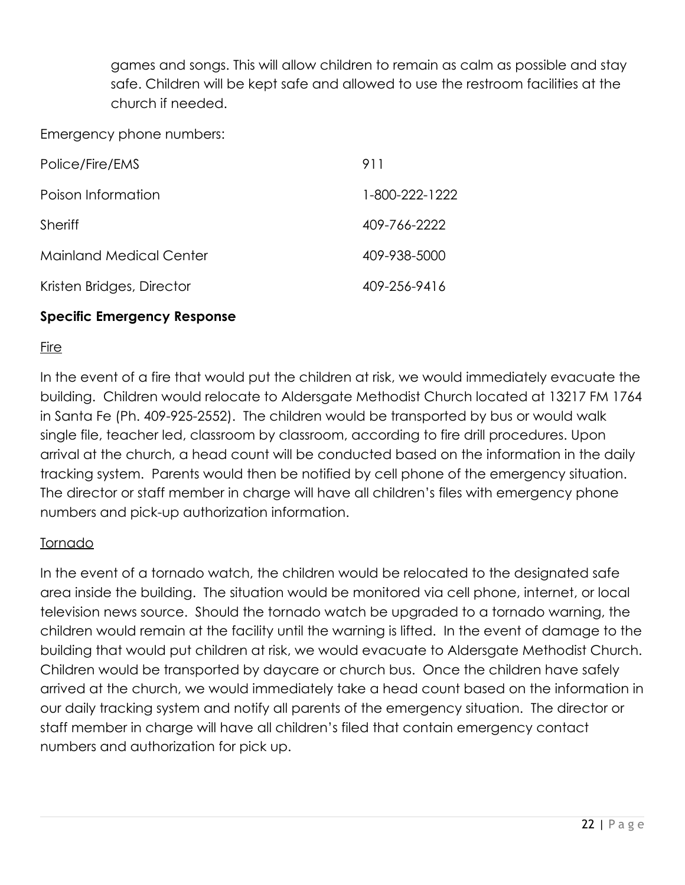games and songs. This will allow children to remain as calm as possible and stay safe. Children will be kept safe and allowed to use the restroom facilities at the church if needed.

Emergency phone numbers:

| Police/Fire/EMS                | 911            |
|--------------------------------|----------------|
| Poison Information             | 1-800-222-1222 |
| Sheriff                        | 409-766-2222   |
| <b>Mainland Medical Center</b> | 409-938-5000   |
| Kristen Bridges, Director      | 409-256-9416   |
|                                |                |

#### **Specific Emergency Response**

#### Fire

In the event of a fire that would put the children at risk, we would immediately evacuate the building. Children would relocate to Aldersgate Methodist Church located at 13217 FM 1764 in Santa Fe (Ph. 409-925-2552). The children would be transported by bus or would walk single file, teacher led, classroom by classroom, according to fire drill procedures. Upon arrival at the church, a head count will be conducted based on the information in the daily tracking system. Parents would then be notified by cell phone of the emergency situation. The director or staff member in charge will have all children's files with emergency phone numbers and pick-up authorization information.

#### Tornado

In the event of a tornado watch, the children would be relocated to the designated safe area inside the building. The situation would be monitored via cell phone, internet, or local television news source. Should the tornado watch be upgraded to a tornado warning, the children would remain at the facility until the warning is lifted. In the event of damage to the building that would put children at risk, we would evacuate to Aldersgate Methodist Church. Children would be transported by daycare or church bus. Once the children have safely arrived at the church, we would immediately take a head count based on the information in our daily tracking system and notify all parents of the emergency situation. The director or staff member in charge will have all children's filed that contain emergency contact numbers and authorization for pick up.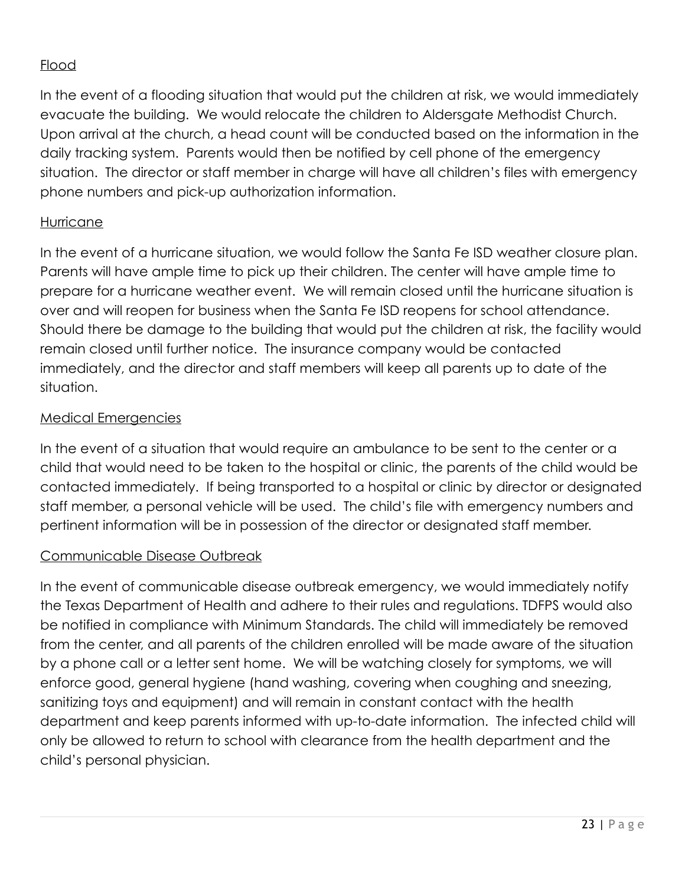### Flood

In the event of a flooding situation that would put the children at risk, we would immediately evacuate the building. We would relocate the children to Aldersgate Methodist Church. Upon arrival at the church, a head count will be conducted based on the information in the daily tracking system. Parents would then be notified by cell phone of the emergency situation. The director or staff member in charge will have all children's files with emergency phone numbers and pick-up authorization information.

#### Hurricane

In the event of a hurricane situation, we would follow the Santa Fe ISD weather closure plan. Parents will have ample time to pick up their children. The center will have ample time to prepare for a hurricane weather event. We will remain closed until the hurricane situation is over and will reopen for business when the Santa Fe ISD reopens for school attendance. Should there be damage to the building that would put the children at risk, the facility would remain closed until further notice. The insurance company would be contacted immediately, and the director and staff members will keep all parents up to date of the situation.

#### Medical Emergencies

In the event of a situation that would require an ambulance to be sent to the center or a child that would need to be taken to the hospital or clinic, the parents of the child would be contacted immediately. If being transported to a hospital or clinic by director or designated staff member, a personal vehicle will be used. The child's file with emergency numbers and pertinent information will be in possession of the director or designated staff member.

#### Communicable Disease Outbreak

In the event of communicable disease outbreak emergency, we would immediately notify the Texas Department of Health and adhere to their rules and regulations. TDFPS would also be notified in compliance with Minimum Standards. The child will immediately be removed from the center, and all parents of the children enrolled will be made aware of the situation by a phone call or a letter sent home. We will be watching closely for symptoms, we will enforce good, general hygiene (hand washing, covering when coughing and sneezing, sanitizing toys and equipment) and will remain in constant contact with the health department and keep parents informed with up-to-date information. The infected child will only be allowed to return to school with clearance from the health department and the child's personal physician.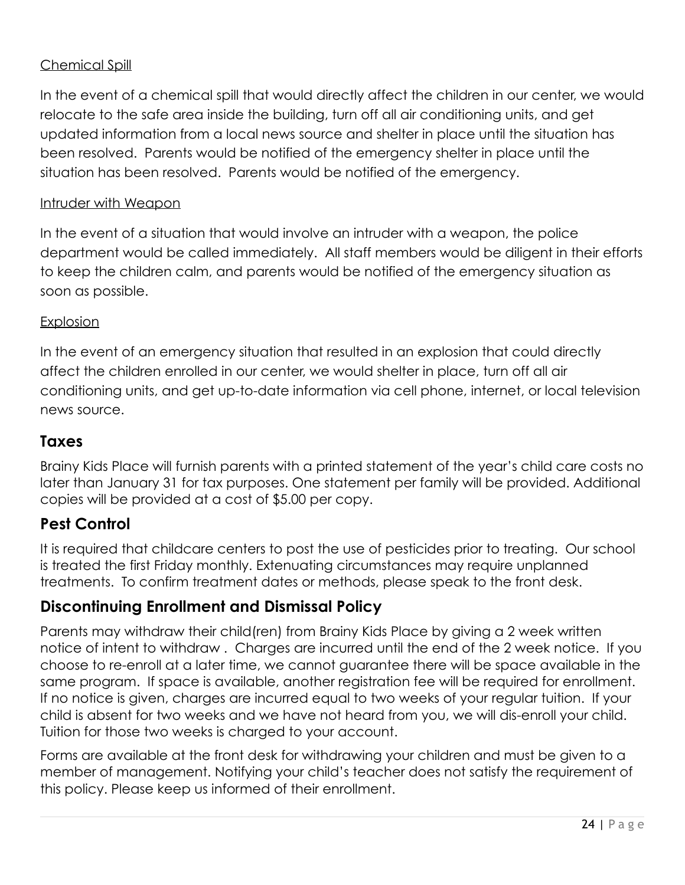### Chemical Spill

In the event of a chemical spill that would directly affect the children in our center, we would relocate to the safe area inside the building, turn off all air conditioning units, and get updated information from a local news source and shelter in place until the situation has been resolved. Parents would be notified of the emergency shelter in place until the situation has been resolved. Parents would be notified of the emergency.

#### Intruder with Weapon

In the event of a situation that would involve an intruder with a weapon, the police department would be called immediately. All staff members would be diligent in their efforts to keep the children calm, and parents would be notified of the emergency situation as soon as possible.

#### Explosion

In the event of an emergency situation that resulted in an explosion that could directly affect the children enrolled in our center, we would shelter in place, turn off all air conditioning units, and get up-to-date information via cell phone, internet, or local television news source.

### **Taxes**

Brainy Kids Place will furnish parents with a printed statement of the year's child care costs no later than January 31 for tax purposes. One statement per family will be provided. Additional copies will be provided at a cost of \$5.00 per copy.

### **Pest Control**

It is required that childcare centers to post the use of pesticides prior to treating. Our school is treated the first Friday monthly. Extenuating circumstances may require unplanned treatments. To confirm treatment dates or methods, please speak to the front desk.

## **Discontinuing Enrollment and Dismissal Policy**

Parents may withdraw their child(ren) from Brainy Kids Place by giving a 2 week written notice of intent to withdraw . Charges are incurred until the end of the 2 week notice. If you choose to re-enroll at a later time, we cannot guarantee there will be space available in the same program. If space is available, another registration fee will be required for enrollment. If no notice is given, charges are incurred equal to two weeks of your regular tuition. If your child is absent for two weeks and we have not heard from you, we will dis-enroll your child. Tuition for those two weeks is charged to your account.

Forms are available at the front desk for withdrawing your children and must be given to a member of management. Notifying your child's teacher does not satisfy the requirement of this policy. Please keep us informed of their enrollment.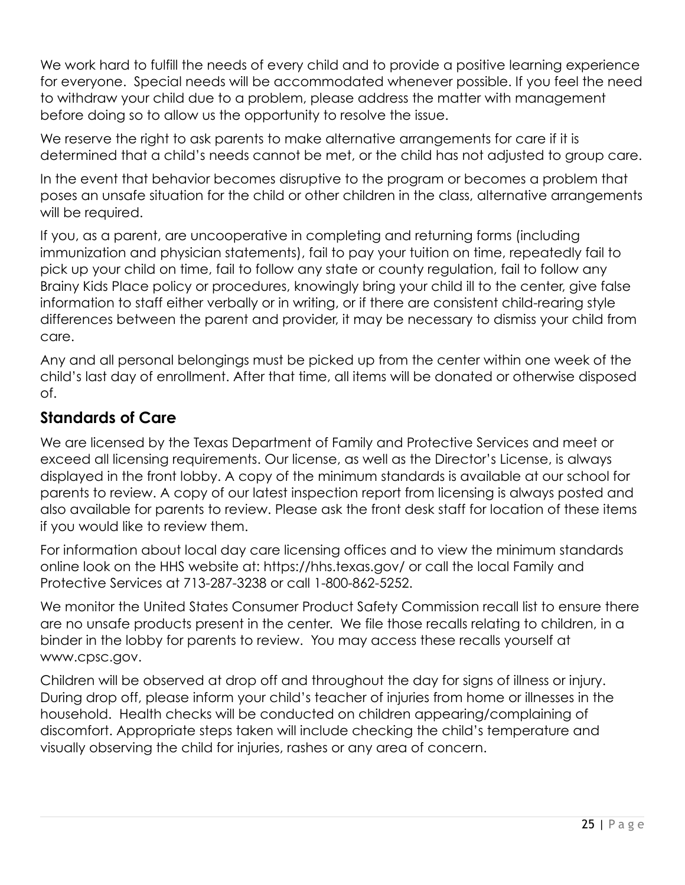We work hard to fulfill the needs of every child and to provide a positive learning experience for everyone. Special needs will be accommodated whenever possible. If you feel the need to withdraw your child due to a problem, please address the matter with management before doing so to allow us the opportunity to resolve the issue.

We reserve the right to ask parents to make alternative arrangements for care if it is determined that a child's needs cannot be met, or the child has not adjusted to group care.

In the event that behavior becomes disruptive to the program or becomes a problem that poses an unsafe situation for the child or other children in the class, alternative arrangements will be required.

If you, as a parent, are uncooperative in completing and returning forms (including immunization and physician statements), fail to pay your tuition on time, repeatedly fail to pick up your child on time, fail to follow any state or county regulation, fail to follow any Brainy Kids Place policy or procedures, knowingly bring your child ill to the center, give false information to staff either verbally or in writing, or if there are consistent child-rearing style differences between the parent and provider, it may be necessary to dismiss your child from care.

Any and all personal belongings must be picked up from the center within one week of the child's last day of enrollment. After that time, all items will be donated or otherwise disposed of.

## **Standards of Care**

We are licensed by the Texas Department of Family and Protective Services and meet or exceed all licensing requirements. Our license, as well as the Director's License, is always displayed in the front lobby. A copy of the minimum standards is available at our school for parents to review. A copy of our latest inspection report from licensing is always posted and also available for parents to review. Please ask the front desk staff for location of these items if you would like to review them.

For information about local day care licensing offices and to view the minimum standards online look on the HHS website at: https://hhs.texas.gov/ or call the local Family and Protective Services at 713-287-3238 or call 1-800-862-5252.

We monitor the United States Consumer Product Safety Commission recall list to ensure there are no unsafe products present in the center. We file those recalls relating to children, in a binder in the lobby for parents to review. You may access these recalls yourself at www.cpsc.gov.

Children will be observed at drop off and throughout the day for signs of illness or injury. During drop off, please inform your child's teacher of injuries from home or illnesses in the household. Health checks will be conducted on children appearing/complaining of discomfort. Appropriate steps taken will include checking the child's temperature and visually observing the child for injuries, rashes or any area of concern.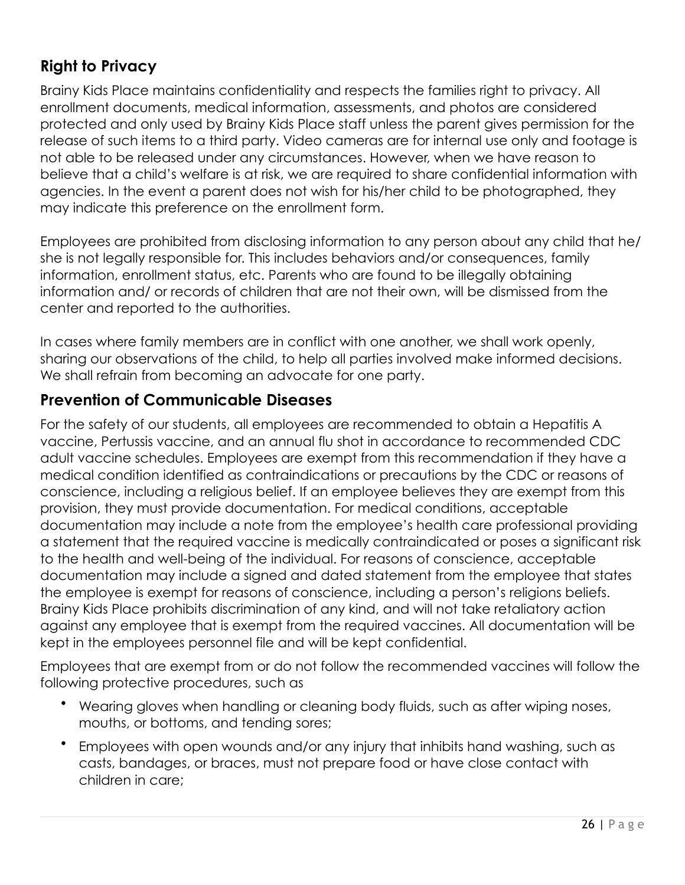# **Right to Privacy**

Brainy Kids Place maintains confidentiality and respects the families right to privacy. All enrollment documents, medical information, assessments, and photos are considered protected and only used by Brainy Kids Place staff unless the parent gives permission for the release of such items to a third party. Video cameras are for internal use only and footage is not able to be released under any circumstances. However, when we have reason to believe that a child's welfare is at risk, we are required to share confidential information with agencies. In the event a parent does not wish for his/her child to be photographed, they may indicate this preference on the enrollment form.

Employees are prohibited from disclosing information to any person about any child that he/ she is not legally responsible for. This includes behaviors and/or consequences, family information, enrollment status, etc. Parents who are found to be illegally obtaining information and/ or records of children that are not their own, will be dismissed from the center and reported to the authorities.

In cases where family members are in conflict with one another, we shall work openly, sharing our observations of the child, to help all parties involved make informed decisions. We shall refrain from becoming an advocate for one party.

## **Prevention of Communicable Diseases**

For the safety of our students, all employees are recommended to obtain a Hepatitis A vaccine, Pertussis vaccine, and an annual flu shot in accordance to recommended CDC adult vaccine schedules. Employees are exempt from this recommendation if they have a medical condition identified as contraindications or precautions by the CDC or reasons of conscience, including a religious belief. If an employee believes they are exempt from this provision, they must provide documentation. For medical conditions, acceptable documentation may include a note from the employee's health care professional providing a statement that the required vaccine is medically contraindicated or poses a significant risk to the health and well-being of the individual. For reasons of conscience, acceptable documentation may include a signed and dated statement from the employee that states the employee is exempt for reasons of conscience, including a person's religions beliefs. Brainy Kids Place prohibits discrimination of any kind, and will not take retaliatory action against any employee that is exempt from the required vaccines. All documentation will be kept in the employees personnel file and will be kept confidential.

Employees that are exempt from or do not follow the recommended vaccines will follow the following protective procedures, such as

- Wearing gloves when handling or cleaning body fluids, such as after wiping noses, mouths, or bottoms, and tending sores;
- Employees with open wounds and/or any injury that inhibits hand washing, such as casts, bandages, or braces, must not prepare food or have close contact with children in care;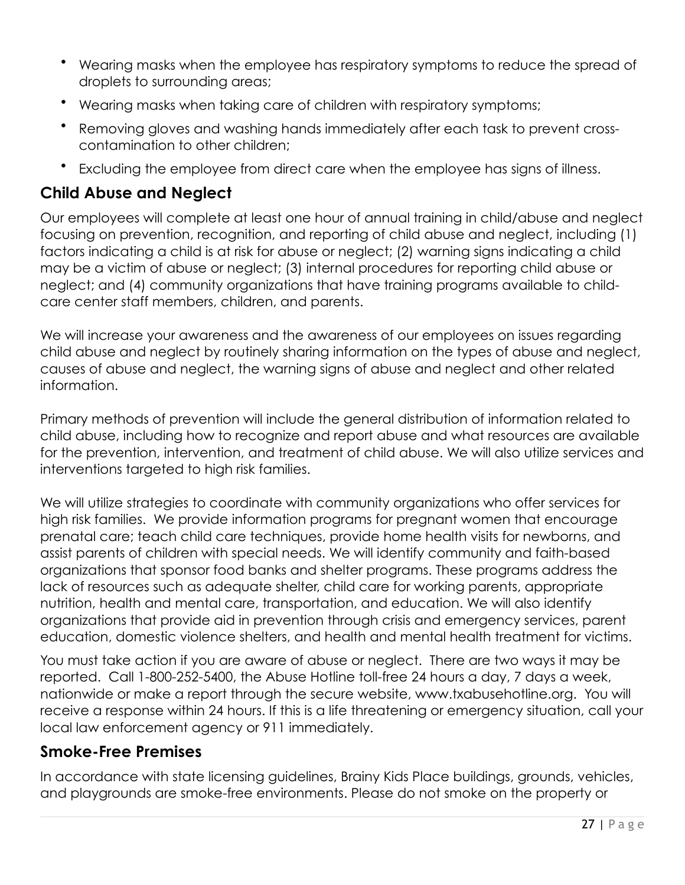- Wearing masks when the employee has respiratory symptoms to reduce the spread of droplets to surrounding areas;
- Wearing masks when taking care of children with respiratory symptoms;
- Removing gloves and washing hands immediately after each task to prevent crosscontamination to other children;
- Excluding the employee from direct care when the employee has signs of illness.

# **Child Abuse and Neglect**

Our employees will complete at least one hour of annual training in child/abuse and neglect focusing on prevention, recognition, and reporting of child abuse and neglect, including (1) factors indicating a child is at risk for abuse or neglect; (2) warning signs indicating a child may be a victim of abuse or neglect; (3) internal procedures for reporting child abuse or neglect; and (4) community organizations that have training programs available to childcare center staff members, children, and parents.

We will increase your awareness and the awareness of our employees on issues regarding child abuse and neglect by routinely sharing information on the types of abuse and neglect, causes of abuse and neglect, the warning signs of abuse and neglect and other related information.

Primary methods of prevention will include the general distribution of information related to child abuse, including how to recognize and report abuse and what resources are available for the prevention, intervention, and treatment of child abuse. We will also utilize services and interventions targeted to high risk families.

We will utilize strategies to coordinate with community organizations who offer services for high risk families. We provide information programs for pregnant women that encourage prenatal care; teach child care techniques, provide home health visits for newborns, and assist parents of children with special needs. We will identify community and faith-based organizations that sponsor food banks and shelter programs. These programs address the lack of resources such as adequate shelter, child care for working parents, appropriate nutrition, health and mental care, transportation, and education. We will also identify organizations that provide aid in prevention through crisis and emergency services, parent education, domestic violence shelters, and health and mental health treatment for victims.

You must take action if you are aware of abuse or neglect. There are two ways it may be reported. Call 1-800-252-5400, the Abuse Hotline toll-free 24 hours a day, 7 days a week, nationwide or make a report through the secure website, [www.txabusehotline.org](http://www.txabusehotline.org). You will receive a response within 24 hours. If this is a life threatening or emergency situation, call your local law enforcement agency or 911 immediately.

### **Smoke-Free Premises**

In accordance with state licensing guidelines, Brainy Kids Place buildings, grounds, vehicles, and playgrounds are smoke-free environments. Please do not smoke on the property or